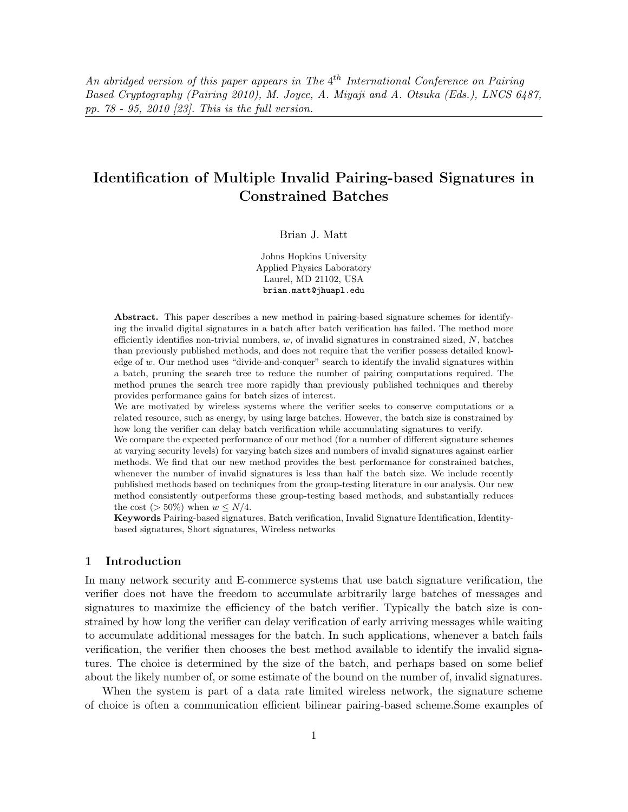*An abridged version of this paper appears in The* 4*th International Conference on Pairing Based Cryptography (Pairing 2010), M. Joyce, A. Miyaji and A. Otsuka (Eds.), LNCS 6487, pp. 78 - 95, 2010 [23]. This is the full version.*

# **Identification of Multiple Invalid Pairing-based Signatures in Constrained Batches**

Brian J. Matt

Johns Hopkins University Applied Physics Laboratory Laurel, MD 21102, USA brian.matt@jhuapl.edu

**Abstract.** This paper describes a new method in pairing-based signature schemes for identifying the invalid digital signatures in a batch after batch verification has failed. The method more efficiently identifies non-trivial numbers,  $w$ , of invalid signatures in constrained sized,  $N$ , batches than previously published methods, and does not require that the verifier possess detailed knowledge of w. Our method uses "divide-and-conquer" search to identify the invalid signatures within a batch, pruning the search tree to reduce the number of pairing computations required. The method prunes the search tree more rapidly than previously published techniques and thereby provides performance gains for batch sizes of interest.

We are motivated by wireless systems where the verifier seeks to conserve computations or a related resource, such as energy, by using large batches. However, the batch size is constrained by how long the verifier can delay batch verification while accumulating signatures to verify.

We compare the expected performance of our method (for a number of different signature schemes at varying security levels) for varying batch sizes and numbers of invalid signatures against earlier methods. We find that our new method provides the best performance for constrained batches, whenever the number of invalid signatures is less than half the batch size. We include recently published methods based on techniques from the group-testing literature in our analysis. Our new method consistently outperforms these group-testing based methods, and substantially reduces the cost ( $>$  50%) when  $w \leq N/4$ .

**Keywords** Pairing-based signatures, Batch verification, Invalid Signature Identification, Identitybased signatures, Short signatures, Wireless networks

## **1 Introduction**

In many network security and E-commerce systems that use batch signature verification, the verifier does not have the freedom to accumulate arbitrarily large batches of messages and signatures to maximize the efficiency of the batch verifier. Typically the batch size is constrained by how long the verifier can delay verification of early arriving messages while waiting to accumulate additional messages for the batch. In such applications, whenever a batch fails verification, the verifier then chooses the best method available to identify the invalid signatures. The choice is determined by the size of the batch, and perhaps based on some belief about the likely number of, or some estimate of the bound on the number of, invalid signatures.

When the system is part of a data rate limited wireless network, the signature scheme of choice is often a communication efficient bilinear pairing-based scheme.Some examples of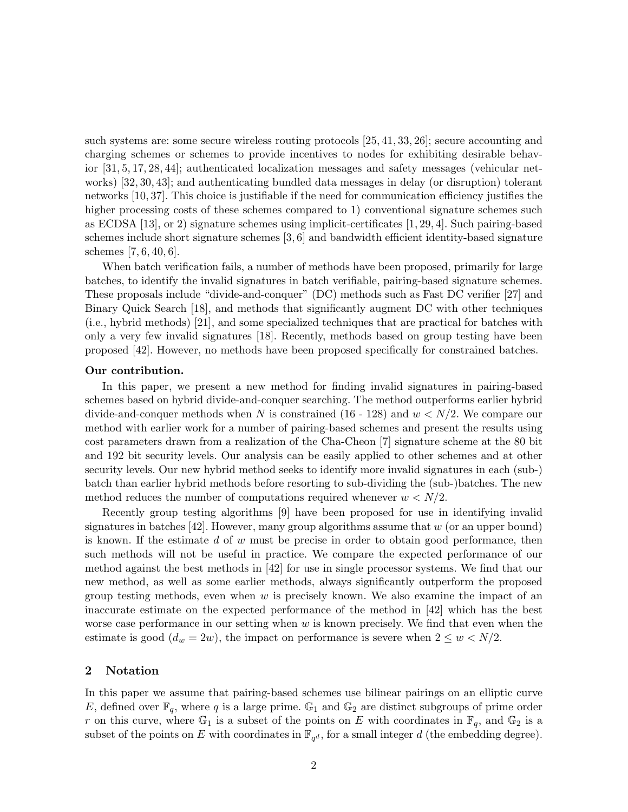such systems are: some secure wireless routing protocols [25, 41, 33, 26]; secure accounting and charging schemes or schemes to provide incentives to nodes for exhibiting desirable behavior [31, 5, 17, 28, 44]; authenticated localization messages and safety messages (vehicular networks) [32, 30, 43]; and authenticating bundled data messages in delay (or disruption) tolerant networks [10, 37]. This choice is justifiable if the need for communication efficiency justifies the higher processing costs of these schemes compared to 1) conventional signature schemes such as ECDSA [13], or 2) signature schemes using implicit-certificates [1, 29, 4]. Such pairing-based schemes include short signature schemes [3, 6] and bandwidth efficient identity-based signature schemes [7, 6, 40, 6].

When batch verification fails, a number of methods have been proposed, primarily for large batches, to identify the invalid signatures in batch verifiable, pairing-based signature schemes. These proposals include "divide-and-conquer" (DC) methods such as Fast DC verifier [27] and Binary Quick Search [18], and methods that significantly augment DC with other techniques (i.e., hybrid methods) [21], and some specialized techniques that are practical for batches with only a very few invalid signatures [18]. Recently, methods based on group testing have been proposed [42]. However, no methods have been proposed specifically for constrained batches.

#### **Our contribution.**

In this paper, we present a new method for finding invalid signatures in pairing-based schemes based on hybrid divide-and-conquer searching. The method outperforms earlier hybrid divide-and-conquer methods when N is constrained (16 - 128) and  $w < N/2$ . We compare our method with earlier work for a number of pairing-based schemes and present the results using cost parameters drawn from a realization of the Cha-Cheon [7] signature scheme at the 80 bit and 192 bit security levels. Our analysis can be easily applied to other schemes and at other security levels. Our new hybrid method seeks to identify more invalid signatures in each (sub-) batch than earlier hybrid methods before resorting to sub-dividing the (sub-)batches. The new method reduces the number of computations required whenever  $w < N/2$ .

Recently group testing algorithms [9] have been proposed for use in identifying invalid signatures in batches  $[42]$ . However, many group algorithms assume that w (or an upper bound) is known. If the estimate  $d$  of  $w$  must be precise in order to obtain good performance, then such methods will not be useful in practice. We compare the expected performance of our method against the best methods in [42] for use in single processor systems. We find that our new method, as well as some earlier methods, always significantly outperform the proposed group testing methods, even when  $w$  is precisely known. We also examine the impact of an inaccurate estimate on the expected performance of the method in [42] which has the best worse case performance in our setting when  $w$  is known precisely. We find that even when the estimate is good  $(d_w = 2w)$ , the impact on performance is severe when  $2 \leq w < N/2$ .

#### **2 Notation**

In this paper we assume that pairing-based schemes use bilinear pairings on an elliptic curve E, defined over  $\mathbb{F}_q$ , where q is a large prime.  $\mathbb{G}_1$  and  $\mathbb{G}_2$  are distinct subgroups of prime order r on this curve, where  $\mathbb{G}_1$  is a subset of the points on E with coordinates in  $\mathbb{F}_q$ , and  $\mathbb{G}_2$  is a subset of the points on E with coordinates in  $\mathbb{F}_{q^d}$ , for a small integer d (the embedding degree).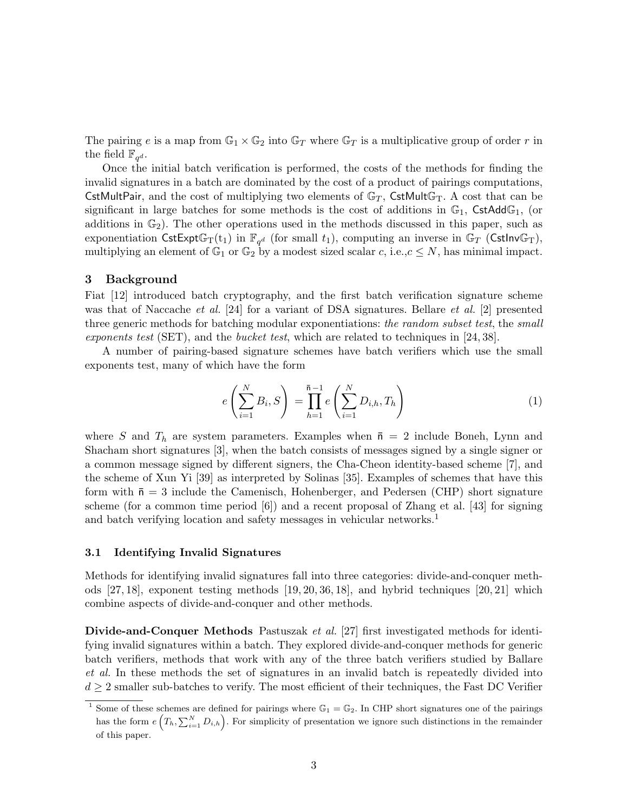The pairing e is a map from  $\mathbb{G}_1 \times \mathbb{G}_2$  into  $\mathbb{G}_T$  where  $\mathbb{G}_T$  is a multiplicative group of order r in the field  $\mathbb{F}_{q^d}$ .

Once the initial batch verification is performed, the costs of the methods for finding the invalid signatures in a batch are dominated by the cost of a product of pairings computations, CstMultPair, and the cost of multiplying two elements of  $\mathbb{G}_T$ , CstMult $\mathbb{G}_T$ . A cost that can be significant in large batches for some methods is the cost of additions in  $\mathbb{G}_1$ , CstAdd $\mathbb{G}_1$ , (or additions in  $\mathbb{G}_2$ ). The other operations used in the methods discussed in this paper, such as exponentiation CstExpt $\mathbb{G}_{T}(t_1)$  in  $\mathbb{F}_{q^d}$  (for small  $t_1$ ), computing an inverse in  $\mathbb{G}_T$  (CstInv $\mathbb{G}_T$ ), multiplying an element of  $\mathbb{G}_1$  or  $\mathbb{G}_2$  by a modest sized scalar c, i.e.,  $c \leq N$ , has minimal impact.

#### **3 Background**

Fiat [12] introduced batch cryptography, and the first batch verification signature scheme was that of Naccache *et al.* [24] for a variant of DSA signatures. Bellare *et al.* [2] presented three generic methods for batching modular exponentiations: *the random subset test*, the *small exponents test* (SET), and the *bucket test*, which are related to techniques in [24, 38].

A number of pairing-based signature schemes have batch verifiers which use the small exponents test, many of which have the form

$$
e\left(\sum_{i=1}^{N} B_i, S\right) = \prod_{h=1}^{\bar{n}-1} e\left(\sum_{i=1}^{N} D_{i,h}, T_h\right)
$$
 (1)

where S and  $T_h$  are system parameters. Examples when  $\bar{n} = 2$  include Boneh, Lynn and Shacham short signatures [3], when the batch consists of messages signed by a single signer or a common message signed by different signers, the Cha-Cheon identity-based scheme [7], and the scheme of Xun Yi [39] as interpreted by Solinas [35]. Examples of schemes that have this form with  $\bar{n} = 3$  include the Camenisch, Hohenberger, and Pedersen (CHP) short signature scheme (for a common time period [6]) and a recent proposal of Zhang et al. [43] for signing and batch verifying location and safety messages in vehicular networks.<sup>1</sup>

## **3.1 Identifying Invalid Signatures**

Methods for identifying invalid signatures fall into three categories: divide-and-conquer methods [27, 18], exponent testing methods [19, 20, 36, 18], and hybrid techniques [20, 21] which combine aspects of divide-and-conquer and other methods.

**Divide-and-Conquer Methods** Pastuszak *et al.* [27] first investigated methods for identifying invalid signatures within a batch. They explored divide-and-conquer methods for generic batch verifiers, methods that work with any of the three batch verifiers studied by Ballare *et al.* In these methods the set of signatures in an invalid batch is repeatedly divided into  $d \geq 2$  smaller sub-batches to verify. The most efficient of their techniques, the Fast DC Verifier

<sup>&</sup>lt;sup>1</sup> Some of these schemes are defined for pairings where  $\mathbb{G}_1 = \mathbb{G}_2$ . In CHP short signatures one of the pairings has the form  $e(T_h, \sum_{i=1}^N D_{i,h})$ . For simplicity of presentation we ignore such distinctions in the remainder of this paper.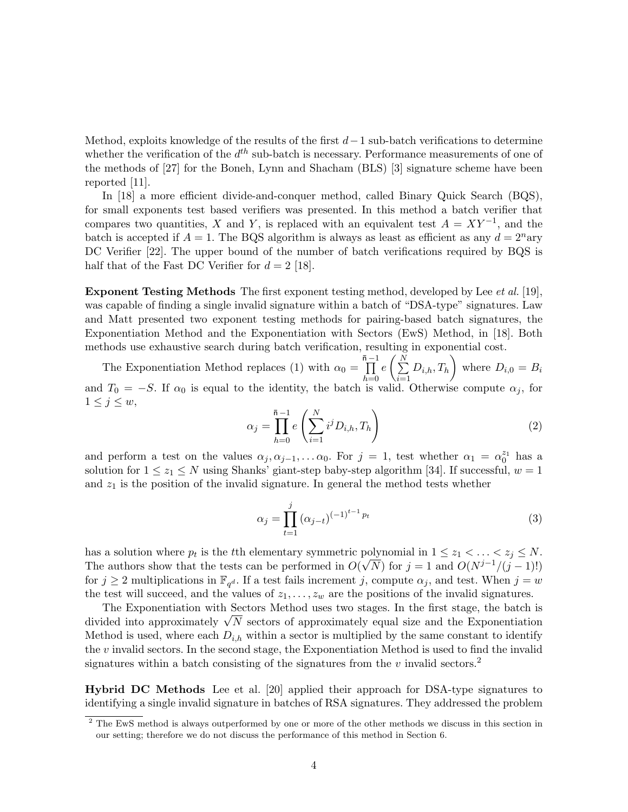Method, exploits knowledge of the results of the first  $d-1$  sub-batch verifications to determine whether the verification of the  $d^{th}$  sub-batch is necessary. Performance measurements of one of the methods of [27] for the Boneh, Lynn and Shacham (BLS) [3] signature scheme have been reported [11].

In [18] a more efficient divide-and-conquer method, called Binary Quick Search (BQS), for small exponents test based verifiers was presented. In this method a batch verifier that compares two quantities, X and Y, is replaced with an equivalent test  $A = XY^{-1}$ , and the batch is accepted if  $A = 1$ . The BQS algorithm is always as least as efficient as any  $d = 2^n$ ary DC Verifier [22]. The upper bound of the number of batch verifications required by BQS is half that of the Fast DC Verifier for  $d = 2$  [18].

**Exponent Testing Methods** The first exponent testing method, developed by Lee *et al.* [19], was capable of finding a single invalid signature within a batch of "DSA-type" signatures. Law and Matt presented two exponent testing methods for pairing-based batch signatures, the Exponentiation Method and the Exponentiation with Sectors (EwS) Method, in [18]. Both methods use exhaustive search during batch verification, resulting in exponential cost.

The Exponentiation Method replaces (1) with  $\alpha_0 = \prod_{n=1}^{\bar{n}-1}$ *h*=0  $e\left(\frac{N}{\sum}\right)$ *i*=1  $(D_{i,h}, T_h)$  where  $D_{i,0} = B_i$ and  $T_0 = -S$ . If  $\alpha_0$  is equal to the identity, the batch is valid. Otherwise compute  $\alpha_j$ , for  $1 \leq j \leq w$ ,

$$
\alpha_j = \prod_{h=0}^{\bar{n}-1} e\left(\sum_{i=1}^N i^j D_{i,h}, T_h\right) \tag{2}
$$

and perform a test on the values  $\alpha_j, \alpha_{j-1},...,\alpha_0$ . For  $j = 1$ , test whether  $\alpha_1 = \alpha_0^{z_1}$  has a solution for  $1 \leq z_1 \leq N$  using Shanks' giant-step baby-step algorithm [34]. If successful,  $w = 1$ and  $z_1$  is the position of the invalid signature. In general the method tests whether

$$
\alpha_j = \prod_{t=1}^j \left( \alpha_{j-t} \right)^{(-1)^{t-1} p_t} \tag{3}
$$

has a solution where  $p_t$  is the t<sup>th</sup> elementary symmetric polynomial in  $1 \leq z_1 < \ldots < z_j \leq N$ . The authors show that the tests can be performed in  $O(\sqrt{N})$  for  $j = 1$  and  $O(N^{j-1}/(j-1)!)$ for  $j \geq 2$  multiplications in  $\mathbb{F}_{q^d}$ . If a test fails increment j, compute  $\alpha_j$ , and test. When  $j = w$ the test will succeed, and the values of  $z_1, \ldots, z_w$  are the positions of the invalid signatures.

The Exponentiation with Sectors Method uses two stages. In the first stage, the batch is divided into approximately  $\sqrt{N}$  sectors of approximately equal size and the Exponentiation Method is used, where each  $D_{i,h}$  within a sector is multiplied by the same constant to identify the  $v$  invalid sectors. In the second stage, the Exponentiation Method is used to find the invalid signatures within a batch consisting of the signatures from the v invalid sectors.<sup>2</sup>

**Hybrid DC Methods** Lee et al. [20] applied their approach for DSA-type signatures to identifying a single invalid signature in batches of RSA signatures. They addressed the problem

<sup>&</sup>lt;sup>2</sup> The EwS method is always outperformed by one or more of the other methods we discuss in this section in our setting; therefore we do not discuss the performance of this method in Section 6.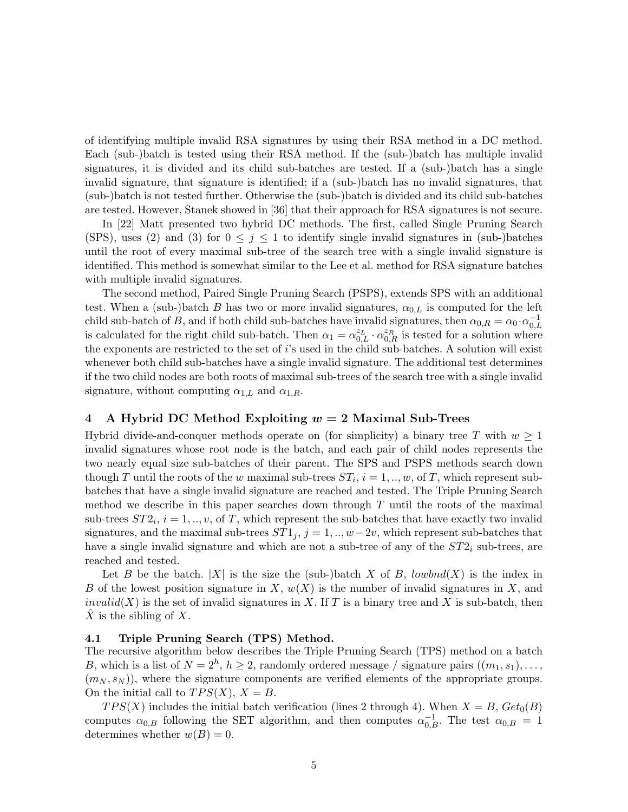of identifying multiple invalid RSA signatures by using their RSA method in a DC method. Each (sub-)batch is tested using their RSA method. If the (sub-)batch has multiple invalid signatures, it is divided and its child sub-batches are tested. If a (sub-)batch has a single invalid signature, that signature is identified; if a (sub-)batch has no invalid signatures, that (sub-)batch is not tested further. Otherwise the (sub-)batch is divided and its child sub-batches are tested. However, Stanek showed in [36] that their approach for RSA signatures is not secure.

In [22] Matt presented two hybrid DC methods. The first, called Single Pruning Search (SPS), uses (2) and (3) for  $0 \leq j \leq 1$  to identify single invalid signatures in (sub-)batches until the root of every maximal sub-tree of the search tree with a single invalid signature is identified. This method is somewhat similar to the Lee et al. method for RSA signature batches with multiple invalid signatures.

The second method, Paired Single Pruning Search (PSPS), extends SPS with an additional test. When a (sub-)batch B has two or more invalid signatures,  $\alpha_{0,L}$  is computed for the left child sub-batch of B, and if both child sub-batches have invalid signatures, then  $\alpha_{0,R} = \alpha_0 \cdot \alpha_{0,L}^{-1}$ is calculated for the right child sub-batch. Then  $\alpha_1 = \alpha_{0,L}^{z_L} \cdot \alpha_{0,R}^{z_R}$  is tested for a solution where the exponents are restricted to the set of  $i$ 's used in the child sub-batches. A solution will exist whenever both child sub-batches have a single invalid signature. The additional test determines if the two child nodes are both roots of maximal sub-trees of the search tree with a single invalid signature, without computing  $\alpha_{1,L}$  and  $\alpha_{1,R}$ .

## **4 A Hybrid DC Method Exploiting** *w* **= 2 Maximal Sub-Trees**

Hybrid divide-and-conquer methods operate on (for simplicity) a binary tree T with  $w > 1$ invalid signatures whose root node is the batch, and each pair of child nodes represents the two nearly equal size sub-batches of their parent. The SPS and PSPS methods search down though T until the roots of the w maximal sub-trees  $ST_i$ ,  $i = 1, ..., w$ , of T, which represent subbatches that have a single invalid signature are reached and tested. The Triple Pruning Search method we describe in this paper searches down through  $T$  until the roots of the maximal sub-trees  $ST2_i$ ,  $i = 1, ..., v$ , of T, which represent the sub-batches that have exactly two invalid signatures, and the maximal sub-trees  $ST1<sub>j</sub>$ ,  $j = 1, ..., w-2v$ , which represent sub-batches that have a single invalid signature and which are not a sub-tree of any of the ST2*<sup>i</sup>* sub-trees, are reached and tested.

Let B be the batch. |X| is the size the (sub-)batch X of B, lowbnd(X) is the index in B of the lowest position signature in X,  $w(X)$  is the number of invalid signatures in X, and invalid(X) is the set of invalid signatures in X. If T is a binary tree and X is sub-batch, then X is the sibling of X.

#### **4.1 Triple Pruning Search (TPS) Method.**

The recursive algorithm below describes the Triple Pruning Search (TPS) method on a batch B, which is a list of  $N = 2<sup>h</sup>$ ,  $h \ge 2$ , randomly ordered message / signature pairs  $((m_1, s_1), \ldots,$  $(m_N, s_N)$ , where the signature components are verified elements of the appropriate groups. On the initial call to  $TPS(X)$ ,  $X = B$ .

 $TPS(X)$  includes the initial batch verification (lines 2 through 4). When  $X = B$ ,  $Get_0(B)$ computes  $\alpha_{0,B}$  following the SET algorithm, and then computes  $\alpha_{0,B}^{-1}$ . The test  $\alpha_{0,B} = 1$ determines whether  $w(B) = 0$ .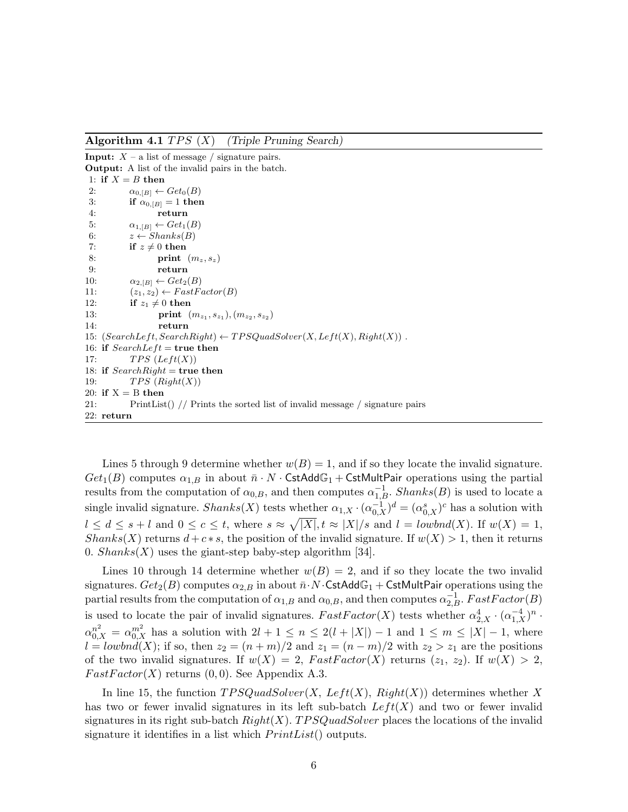**Algorithm 4.1** TPS (X) *(Triple Pruning Search)*

**Input:**  $X - a$  list of message / signature pairs.

**Output:** A list of the invalid pairs in the batch. 1: **if**  $X = B$  **then** 2:  $\alpha_{0,[B]} \leftarrow Get_0(B)$ <br>3: **if**  $\alpha_{0,[B]} = 1$  then if  $\alpha_{0,[B]} = 1$  then 4: **return** 5:  $\alpha_{1,[B]} \leftarrow Get_1(B)$ <br>6:  $z \leftarrow Shanks(B)$ 6:  $z \leftarrow Shanks(B)$ <br>7: **if**  $z \neq 0$  then 7: **if**  $z \neq 0$  **then**<br>8: **print**  $print(m_z, s_z)$ 9: **return** 10:  $\alpha_{2,[B]} \leftarrow Get_2(B)$ <br>11:  $(z_1, z_2) \leftarrow FastF_0$ 11:  $(z_1, z_2) \leftarrow FastFactor(B)$ <br>12: **if**  $z_1 \neq 0$  **then** 12: **if**  $z_1 \neq 0$  **then**<br>13: **print** ( 13: **print**  $(m_{z_1}, s_{z_1}), (m_{z_2}, s_{z_2})$ <br>14· **return** 14: **return** 15:  $(SearchLeft, SearchRight) \leftarrow TPSQuadSolver(X, Left(X), Right(X))$ . 16: **if**  $SearchLeft = true$  then 17:  $TPS (Left(X))$ 18: **if**  $SearchRight$  = **true then** 19:  $TPS(Right(X))$ 20: **if**  $X = B$  **then** 21: PrintList() // Prints the sorted list of invalid message / signature pairs 22: **return**

Lines 5 through 9 determine whether  $w(B) = 1$ , and if so they locate the invalid signature.  $Get_1(B)$  computes  $\alpha_{1,B}$  in about  $\bar{n} \cdot N \cdot \textsf{CstdddG}_1 + \textsf{CstMultPair}$  operations using the partial results from the computation of  $\alpha_{0,B}$ , and then computes  $\alpha_{1,B}^{-1}$ . Shanks(B) is used to locate a single invalid signature. Shanks(X) tests whether  $\alpha_{1,X} \cdot (\alpha_{0,X}^{-1})^d = (\alpha_{0,X}^s)^c$  has a solution with  $l \leq d \leq s+l$  and  $0 \leq c \leq t$ , where  $s \approx \sqrt{|X|}$ ,  $t \approx |X|/s$  and  $l = \text{lowbnd}(X)$ . If  $w(X) = 1$ ,  $Shanks(X)$  returns  $d + c * s$ , the position of the invalid signature. If  $w(X) > 1$ , then it returns 0.  $Shanks(X)$  uses the giant-step baby-step algorithm [34].

Lines 10 through 14 determine whether  $w(B) = 2$ , and if so they locate the two invalid signatures.  $Get_2(B)$  computes  $\alpha_{2,B}$  in about  $\bar{n} \cdot N \cdot \textsf{CstAdd}\mathbb{G}_1 + \textsf{CstMultPair}$  operations using the partial results from the computation of  $\alpha_{1,B}$  and  $\alpha_{0,B}$ , and then computes  $\alpha_{2,B}^{-1}$ . FastFactor(B) is used to locate the pair of invalid signatures.  $FastFactor(X)$  tests whether  $\alpha_{2,X}^4 \cdot (\alpha_{1,X}^{-4})^n \cdot$  $\alpha_{0,X}^{n^2} = \alpha_{0,X}^{m^2}$  has a solution with  $2l + 1 \leq n \leq 2(l + |X|) - 1$  and  $1 \leq m \leq |X| - 1$ , where  $l = \text{lowbnd}(X)$ ; if so, then  $z_2 = (n + m)/2$  and  $z_1 = (n - m)/2$  with  $z_2 > z_1$  are the positions of the two invalid signatures. If  $w(X) = 2$ ,  $FastFactor(X)$  returns  $(z_1, z_2)$ . If  $w(X) > 2$ ,  $FastFactor(X)$  returns  $(0, 0)$ . See Appendix A.3.

In line 15, the function  $TPSQuadSolver(X, Left(X), Right(X))$  determines whether X has two or fewer invalid signatures in its left sub-batch  $Left(X)$  and two or fewer invalid signatures in its right sub-batch  $Right(X)$ . TPSQuadSolver places the locations of the invalid signature it identifies in a list which  $PrintList()$  outputs.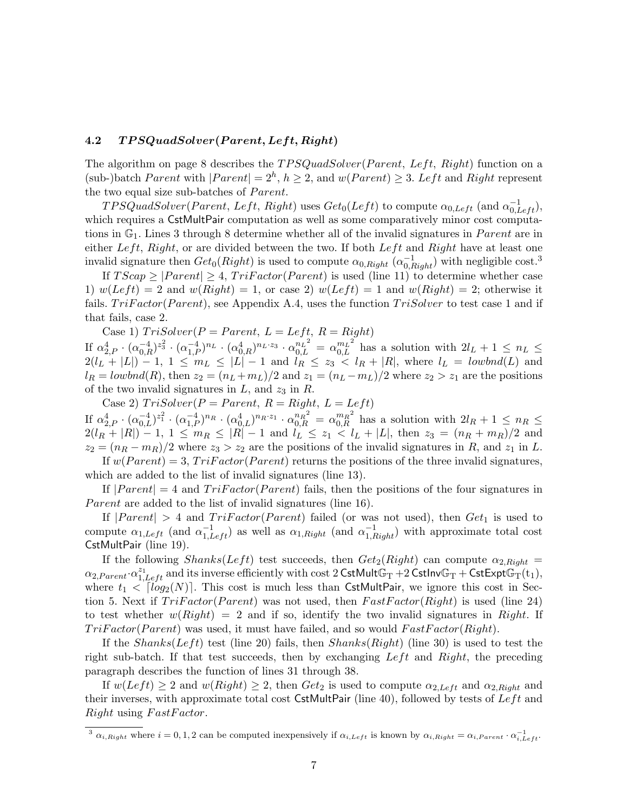## **4.2** *T P SQuadSolver***(***P arent, Lef t, Right***)**

The algorithm on page 8 describes the  $TPSQuadSolver(Parent, Left, Right)$  function on a (sub-)batch *Parent* with  $|Parent| = 2^h, h \geq 2$ , and  $w(Parent) \geq 3$ . Left and Right represent the two equal size sub-batches of *Parent*.

 $TPSQuadSolver(Parent, Left, Right)$  uses  $Get_0(Left)$  to compute  $\alpha_{0,Left}$  (and  $\alpha_{0,Left}^{-1}$ ), which requires a CstMultPair computation as well as some comparatively minor cost computations in  $\mathbb{G}_1$ . Lines 3 through 8 determine whether all of the invalid signatures in *Parent* are in either Left, Right, or are divided between the two. If both  $Left$  and Right have at least one invalid signature then  $Get_0(Right)$  is used to compute  $\alpha_{0,Right}$  ( $\alpha_{0,Right}^{-1}$ ) with negligible cost.<sup>3</sup>

If  $TScap \geq |Parent| \geq 4$ ,  $TriFactor(Parent)$  is used (line 11) to determine whether case 1)  $w(Left) = 2$  and  $w(Right) = 1$ , or case 2)  $w(Left) = 1$  and  $w(Right) = 2$ ; otherwise it fails.  $TriFactor(Parent)$ , see Appendix A.4, uses the function  $TriSolution$  to test case 1 and if that fails, case 2.

Case 1)  $TriSolver(P = Parent, L = Left, R = Right)$ 

If  $\alpha_{2,P}^4 \cdot (\alpha_{0,R}^{-4})^{z_3^2} \cdot (\alpha_{1,P}^{-4})^{n_L} \cdot (\alpha_{0,R}^4)^{n_L \cdot z_3} \cdot \alpha_{0,L}^{n_L^2} = \alpha_{0,L}^{m_L^2}$  has a solution with  $2l_L + 1 \leq n_L \leq$  $2(l_L + |L|) - 1$ ,  $1 \le m_L \le |L| - 1$  and  $l_R \le z_3 < l_R + |R|$ , where  $l_L = \text{lowbnd}(L)$  and  $l_R = \text{lowbnd}(R)$ , then  $z_2 = (n_L + m_L)/2$  and  $z_1 = (n_L - m_L)/2$  where  $z_2 > z_1$  are the positions of the two invalid signatures in  $L$ , and  $z_3$  in  $R$ .

Case 2)  $TriSolver(P = Parent, R = Right, L = Left)$ 

If  $\alpha_{2,P}^4 \cdot (\alpha_{0,L}^{-4})^{z_1^2} \cdot (\alpha_{1,P}^{-4})^{n_R} \cdot (\alpha_{0,L}^4)^{n_R \cdot z_1} \cdot \alpha_{0,R}^{n_R^2} = \alpha_{0,R}^{m_R^2}$  has a solution with  $2l_R + 1 \leq n_R \leq$  $2(l_R + |R|) - 1$ ,  $1 \le m_R \le |R| - 1$  and  $l_L \le z_1 < l_L + |L|$ , then  $z_3 = (n_R + m_R)/2$  and  $z_2 = (n_R - m_R)/2$  where  $z_3 > z_2$  are the positions of the invalid signatures in R, and  $z_1$  in L.

If  $w(Parent) = 3$ ,  $Trifactor(Parent)$  returns the positions of the three invalid signatures, which are added to the list of invalid signatures (line 13).

If  $|Parent| = 4$  and  $TriFactor(Parent)$  fails, then the positions of the four signatures in Parent are added to the list of invalid signatures (line 16).

If  $|Parent| > 4$  and  $Trifactor(Parent)$  failed (or was not used), then  $Get_1$  is used to compute  $\alpha_{1,Left}$  (and  $\alpha_{1,Left}^{-1}$ ) as well as  $\alpha_{1,Right}$  (and  $\alpha_{1,Right}^{-1}$ ) with approximate total cost CstMultPair (line 19).

If the following  $Shanks(Left)$  test succeeds, then  $Get_2(Right)$  can compute  $\alpha_{2,Right}$  $\alpha_{2,Parent} \cdot \alpha_{1,Left}^{z_1}$  and its inverse efficiently with cost  $2$  CstMultG<sub>T</sub> +2 CstInvG<sub>T</sub> + CstExptG<sub>T</sub>(t<sub>1</sub>), where  $t_1 < \lceil log_2(N) \rceil$ . This cost is much less than CstMultPair, we ignore this cost in Section 5. Next if  $TriFactor(Parent)$  was not used, then  $FastFactor(Right)$  is used (line 24) to test whether  $w(Right) = 2$  and if so, identify the two invalid signatures in Right. If  $TriFactor(Parent)$  was used, it must have failed, and so would  $FastFactor(Right)$ .

If the Shanks(Left) test (line 20) fails, then  $Shanks(Right)$  (line 30) is used to test the right sub-batch. If that test succeeds, then by exchanging  $Left$  and  $Right$ , the preceding paragraph describes the function of lines 31 through 38.

If  $w(Left) \geq 2$  and  $w(Right) \geq 2$ , then  $Get_2$  is used to compute  $\alpha_{2,Left}$  and  $\alpha_{2,Right}$  and their inverses, with approximate total cost CstMultPair (line 40), followed by tests of  $Left$  and  $Right$  using  $FastFactor$ .

<sup>&</sup>lt;sup>3</sup>  $\alpha_{i,Right}$  where  $i = 0, 1, 2$  can be computed inexpensively if  $\alpha_{i,Left}$  is known by  $\alpha_{i,Right} = \alpha_{i,Parent} \cdot \alpha_{i,Left}^{-1}$ .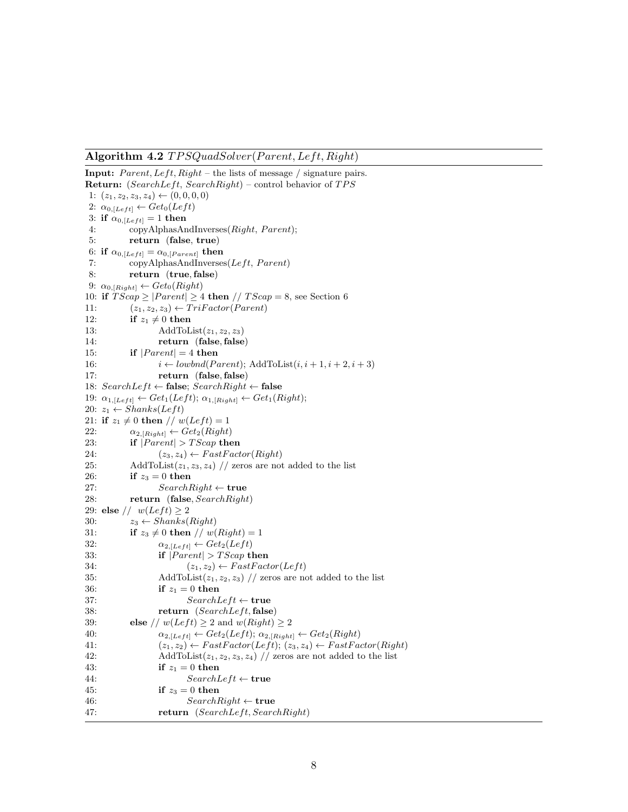**Algorithm 4.2**  $TPSQuadSolver(Parent, Left, Right)$ 

```
Input: Parent, Left, Right – the lists of message / signature pairs.
Return: (SearchLeft, SearchRight) – control behavior of TPS
 1: (z_1, z_2, z_3, z_4) \leftarrow (0, 0, 0, 0)2: \alpha_{0,[Left]} \leftarrow Get_0(Left)3: if \alpha_{0,[Left]} = 1 then
 4: copyAlphasAndInverses(Right, Parent);5: return (false, true)
 6: if \alpha_{0,\lfloor Left \rfloor} = \alpha_{0,\lfloor Parent \rfloor} then
 7: copyAlphasAndInverses(Left, Parent)8: return (true,false)
 9: \alpha_{0,[Right]} \leftarrow Get_0(Right)10: if TScap \geq |Parent| \geq 4 then // TScap = 8, see Section 6<br>11: (z_1, z_2, z_3) \leftarrow Trifactor(Parent)11: (z_1, z_2, z_3) \leftarrow Trifactor(Parent)<br>12: if z_1 \neq 0 then
12: if z_1 \neq 0 then<br>13: AddToL
                         AddToList(z_1, z_2, z_3)14: return (false,false)
15: if |Parent| = 4 then<br>16: i \leftarrow lowbnd(Po)
16: i \leftarrow \text{lowbnd}(\text{Parent}); AddToList(i, i + 1, i + 2, i + 3)<br>17: return (false false)
                         17: return (false,false)
18: SearchLeft \leftarrow false; SearchRight \leftarrow false19: \alpha_{1,[Left]} \leftarrow Get_1(Left); \alpha_{1,[Right]} \leftarrow Get_1(Right);20: z_1 \leftarrow Shanks(Left)21: if z_1 \neq 0 then // w(Left) = 1<br>22: \alpha_{2} [Bight] \leftarrow Get<sub>2</sub>(Right]
22: \alpha_{2,[Right]} \leftarrow Get_2(Right)<br>
23: if |Parent| > TScap the
23: if |Parent| > TScap then<br>24: (z_3, z_4) \leftarrow FastFact24: (z_3, z_4) \leftarrow FastFactor(Right)<br>
25: AddToList(z_1, z_3, z_4) // zeros are not
               AddToList(z_1, z_3, z_4) // zeros are not added to the list
26: if z_3 = 0 then
27: SearchRight ← true
               28: return (false, SearchRight)
29: else // w(Left) \ge 2<br>30: z_3 \leftarrow Shanks30: z_3 \leftarrow Shanks(Right)<br>31: if z_3 \neq 0 then // w(
31: if z_3 \neq 0 then \text{/}\text{/} w(Right) = 1<br>32: \alpha_2 [t<sub>eff</sub>i] \leftarrow Get<sub>2</sub>(Left)
32: \alpha_{2,[Left]} \leftarrow Get_2(Left)<br>33: if |Parent| > TScan33: if |Parent| > TScap then<br>34: (z_1, z_2) \leftarrow FastFact34: (z_1, z_2) \leftarrow FastFactor(Left)<br>35: AddToList(z_1, z_2, z_3) // zeros are no
                         AddToList(z_1, z_2, z_3) // zeros are not added to the list
36: if z_1 = 0 then
37: SearchLeft ← true<br>38: return (SearchLeft, false
                         return (SearchLeft, false)
39: else // w(Left) \ge 2 and w(Right) \ge 2<br>40: \alpha_{2} t_{left} \leftarrow Get_2(Left); \alpha_{2} t_{left}40: \alpha_{2,[Left]} \leftarrow Get_2(Left); \alpha_{2,[Right]} \leftarrow Get_2(Right)<br>41: (z_1, z_2) \leftarrow FastFactor(Left): (z_3, z_4) \leftarrow FastFa41: (z_1, z_2) \leftarrow FastFactor(Left); (z_3, z_4) \leftarrow FastFactor(Right)<br>42: AddToList(z_1, z_2, z_3, z_4) // zeros are not added to the list
                         AddToList(z_1, z_2, z_3, z_4) // zeros are not added to the list
43: if z_1 = 0 then
44: SearchLeft \leftarrow true<br>45: if z_3 = 0 then
                         if z_3 = 0 then
46: SearchRight ← true
                         return (SearchLeft, SearchRight)
```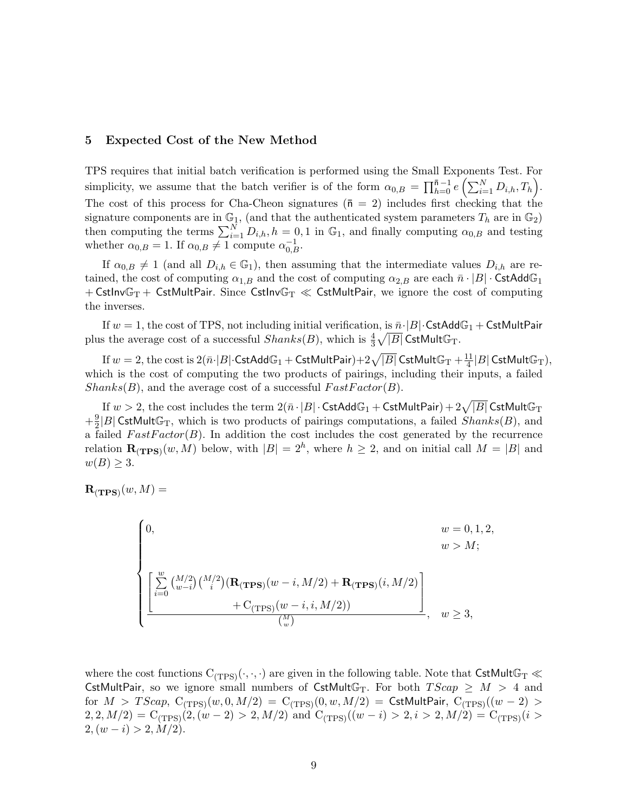## **5 Expected Cost of the New Method**

TPS requires that initial batch verification is performed using the Small Exponents Test. For simplicity, we assume that the batch verifier is of the form  $\alpha_{0,B} = \prod_{h=0}^{\overline{n}-1} e\left(\sum_{i=1}^N D_{i,h}, T_h\right)$ . The cost of this process for Cha-Cheon signatures ( $\bar{n} = 2$ ) includes first checking that the signature components are in  $\mathbb{G}_1$ , (and that the authenticated system parameters  $T_h$  are in  $\mathbb{G}_2$ ) then computing the terms  $\sum_{i=1}^{N} D_{i,h}$ ,  $h = 0, 1$  in  $\mathbb{G}_1$ , and finally computing  $\alpha_{0,B}$  and testing whether  $\alpha_{0,B} = 1$ . If  $\alpha_{0,B} \neq 1$  compute  $\alpha_{0,B}^{-1}$ .

If  $\alpha_{0,B} \neq 1$  (and all  $D_{i,h} \in \mathbb{G}_1$ ), then assuming that the intermediate values  $D_{i,h}$  are retained, the cost of computing  $\alpha_{1,B}$  and the cost of computing  $\alpha_{2,B}$  are each  $\bar{n} \cdot |B| \cdot \text{CstAdd}\mathbb{G}_1$ + CstInv $\mathbb{G}_T$  + CstMultPair. Since CstInv $\mathbb{G}_T \ll$  CstMultPair, we ignore the cost of computing the inverses.

If  $w = 1$ , the cost of TPS, not including initial verification, is  $\bar{n} \cdot |B| \cdot$  CstAdd $\mathbb{G}_1 +$  CstMultPair plus the average cost of a successful  $Shanks(B)$ , which is  $\frac{4}{3}\sqrt{|B|}$  CstMultG<sub>T</sub>.

If  $w=2,$  the cost is  $2(\bar{n}\cdot |B|\cdot \textsf{CstAdd}\mathbb{G}_1+\textsf{CstMultPair})+2\sqrt{|B|}$   $\textsf{CstMult}\mathbb{G}_\text{T}+\frac{11}{4}|B|\textsf{CstMult}\mathbb{G}_\text{T}),$ which is the cost of computing the two products of pairings, including their inputs, a failed  $Shanks(B)$ , and the average cost of a successful  $FastFactor(B)$ .

If  $w>2,$  the cost includes the term  $2(\bar n\cdot |B|\cdot \textsf{CstAdd}\mathbb{G}_1+\textsf{CstMultPair})+2\sqrt{|B|}$   $\textsf{CstMult}\mathbb{G}_\text{T}$  $+\frac{9}{2}|B|$  CstMultG<sub>T</sub>, which is two products of pairings computations, a failed Shanks(B), and a failed  $FastFactor(B)$ . In addition the cost includes the cost generated by the recurrence relation  $\mathbf{R}_{(\text{TPS})}(w, M)$  below, with  $|B| = 2^h$ , where  $h \geq 2$ , and on initial call  $M = |B|$  and  $w(B) \geq 3$ .

 $\mathbf{R}_{(\mathbf{TPS})}(w, M) =$ 

$$
\begin{cases}\n0, & w = 0, 1, 2, \\
 & w > M;\n\end{cases}
$$
\n
$$
\left[\sum_{i=0}^{w} {M/2 \choose w-i} {M/2 \choose i} (\mathbf{R}_{(\mathbf{TPS})}(w-i, M/2) + \mathbf{R}_{(\mathbf{TPS})}(i, M/2) + C_{(\mathbf{TPS})}(w-i, i, M/2))\right], \quad w \ge 3,
$$

where the cost functions  $C_{(TPS)}(\cdot,\cdot,\cdot)$  are given in the following table. Note that  $\textsf{CstMult}\mathbb{G}_T\ll$ CstMultPair, so we ignore small numbers of CstMultG<sub>T</sub>. For both  $TScap \geq M > 4$  and for  $M > TScap$ ,  $C_{(TPS)}(w, 0, M/2) = C_{(TPS)}(0, w, M/2) = CstMultPair$ ,  $C_{(TPS)}((w-2) >$  $2, 2, M/2$ ) = C<sub>(TPS)</sub>(2, (w - 2) > 2, M/2) and C<sub>(TPS)</sub>((w - i) > 2, i > 2, M/2) = C<sub>(TPS)</sub>(i >  $2,(w-i) > 2,M/2$ .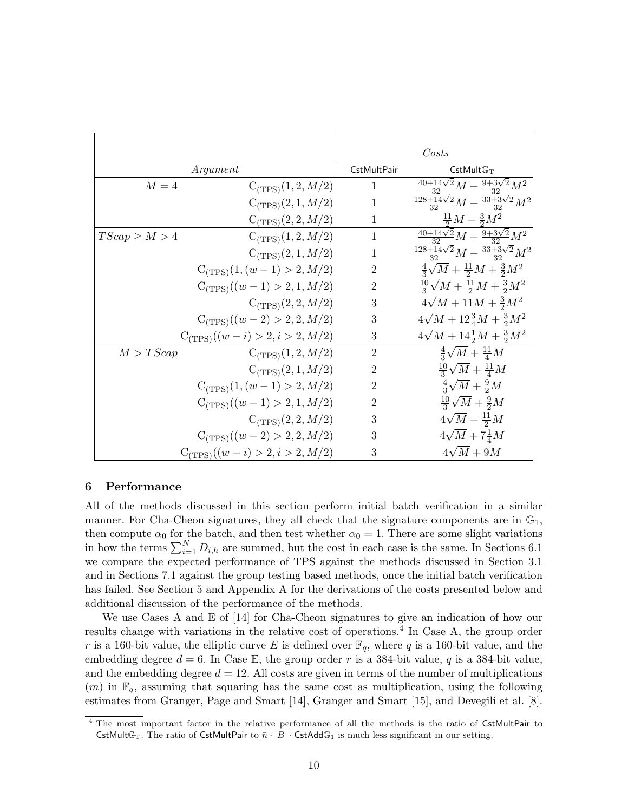|                                      |                                | Costs            |                                                         |
|--------------------------------------|--------------------------------|------------------|---------------------------------------------------------|
| Argument                             |                                | CstMultPair      | CstMultG <sub>T</sub>                                   |
| $M=4$                                | $C_{(TPS)}(1,2,M/2)$           | $\mathbf{1}$     | $\frac{40+14\sqrt{2}}{22}M+\frac{9+3\sqrt{2}}{22}M^2$   |
|                                      | $C_{(TPS)}(2,1,M/2)$           | $\mathbf{1}$     | $\frac{128+14\sqrt{2}}{22}M+\frac{33+3\sqrt{2}}{22}M^2$ |
|                                      | $C_{(TPS)}(2, 2, M/2)$         | $\mathbf 1$      | $\frac{11}{2}M + \frac{3}{2}M^2$                        |
| $TScap \geq M > 4$                   | $C_{(TPS)}(1,2,M/2)$           | $\mathbf{1}$     | $\frac{40+14\sqrt{2}}{22}M+\frac{9+3\sqrt{2}}{22}M^2$   |
|                                      | $C_{(TPS)}(2,1,M/2)$           | 1                | $\frac{128+14\sqrt{2}}{32}M+\frac{33+3\sqrt{2}}{32}M^2$ |
|                                      | $C_{(TPS)}(1,(w-1)>2,M/2)$     | $\overline{2}$   | $\frac{4}{3}\sqrt{M} + \frac{11}{2}M + \frac{3}{2}M^2$  |
|                                      | $C_{(TPS)}((w-1) > 2, 1, M/2)$ | $\overline{2}$   | $\frac{10}{3}\sqrt{M} + \frac{11}{2}M + \frac{3}{2}M^2$ |
|                                      | $C_{(TPS)}(2, 2, M/2)$         | 3                | $4\sqrt{M}+11M+\frac{3}{2}M^2$                          |
|                                      | $C_{(TPS)}((w-2) > 2, 2, M/2)$ | 3                | $4\sqrt{M}+12\frac{3}{4}M+\frac{3}{2}M^2$               |
| $C_{(TPS)}((w - i) > 2, i > 2, M/2)$ |                                | 3                | $4\sqrt{M}+14\frac{1}{2}M+\frac{3}{2}M^2$               |
| M > TScap                            | $C_{(TPS)}(1,2,M/2)$           | $\overline{2}$   | $\frac{4}{3}\sqrt{M} + \frac{11}{4}M$                   |
|                                      | $C_{(TPS)}(2,1,M/2)$           | $\boldsymbol{2}$ | $\frac{10}{3}\sqrt{M} + \frac{11}{4}M$                  |
|                                      | $C_{(TPS)}(1,(w-1) > 2, M/2)$  | $\overline{2}$   | $\frac{4}{3}\sqrt{M}+\frac{9}{2}M$                      |
|                                      | $C_{(TPS)}((w-1) > 2, 1, M/2)$ | $\boldsymbol{2}$ | $\frac{10}{3}\sqrt{M} + \frac{9}{2}M$                   |
|                                      | $C_{(TPS)}(2, 2, M/2)$         | $\boldsymbol{3}$ | $4\sqrt{M}+\frac{11}{2}M$                               |
|                                      | $C_{(TPS)}((w-2) > 2, 2, M/2)$ | $\boldsymbol{3}$ | $4\sqrt{M}+7\frac{1}{4}M$                               |
| $C_{(TPS)}((w - i) > 2, i > 2, M/2)$ |                                | 3                | $4\sqrt{M}+9M$                                          |

#### **6 Performance**

All of the methods discussed in this section perform initial batch verification in a similar manner. For Cha-Cheon signatures, they all check that the signature components are in  $\mathbb{G}_1$ , then compute  $\alpha_0$  for the batch, and then test whether  $\alpha_0 = 1$ . There are some slight variations in how the terms  $\sum_{i=1}^{N} D_{i,h}$  are summed, but the cost in each case is the same. In Sections 6.1 we compare the expected performance of TPS against the methods discussed in Section 3.1 and in Sections 7.1 against the group testing based methods, once the initial batch verification has failed. See Section 5 and Appendix A for the derivations of the costs presented below and additional discussion of the performance of the methods.

We use Cases A and E of [14] for Cha-Cheon signatures to give an indication of how our results change with variations in the relative cost of operations.<sup>4</sup> In Case A, the group order r is a 160-bit value, the elliptic curve E is defined over  $\mathbb{F}_q$ , where q is a 160-bit value, and the embedding degree  $d = 6$ . In Case E, the group order r is a 384-bit value, q is a 384-bit value, and the embedding degree  $d = 12$ . All costs are given in terms of the number of multiplications  $(m)$  in  $\mathbb{F}_q$ , assuming that squaring has the same cost as multiplication, using the following estimates from Granger, Page and Smart [14], Granger and Smart [15], and Devegili et al. [8].

<sup>&</sup>lt;sup>4</sup> The most important factor in the relative performance of all the methods is the ratio of CstMultPair to CstMultG<sub>T</sub>. The ratio of CstMultPair to  $\bar{n} \cdot |B| \cdot$  CstAddG<sub>1</sub> is much less significant in our setting.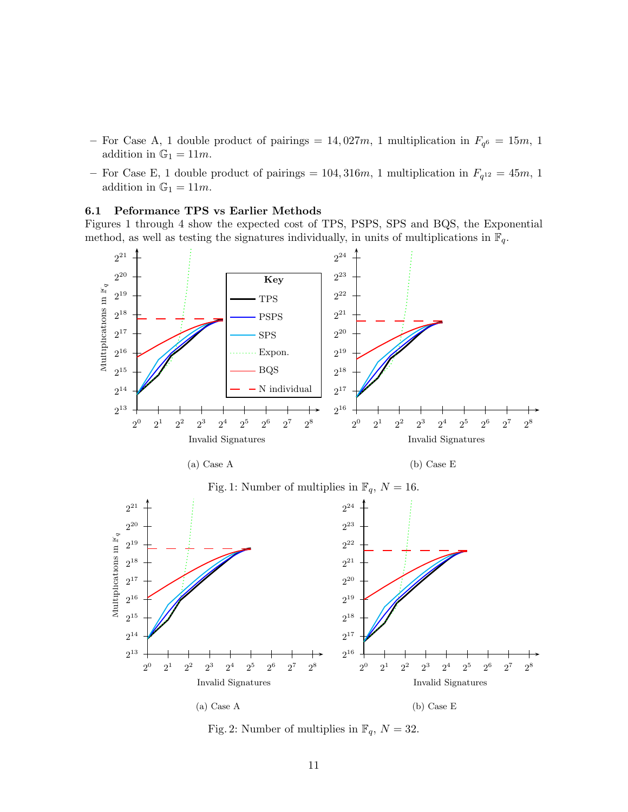- For Case A, 1 double product of pairings = 14,027m, 1 multiplication in  $F_{q^6} = 15m$ , 1 addition in  $\mathbb{G}_1 = 11m$ .
- For Case E, 1 double product of pairings =  $104, 316m$ , 1 multiplication in  $F_{q^{12}} = 45m$ , 1 addition in  $\mathbb{G}_1 = 11m$ .

#### **6.1 Peformance TPS vs Earlier Methods**

Figures 1 through 4 show the expected cost of TPS, PSPS, SPS and BQS, the Exponential method, as well as testing the signatures individually, in units of multiplications in  $\mathbb{F}_q$ .



Fig. 2: Number of multiplies in  $\mathbb{F}_q$ ,  $N = 32$ .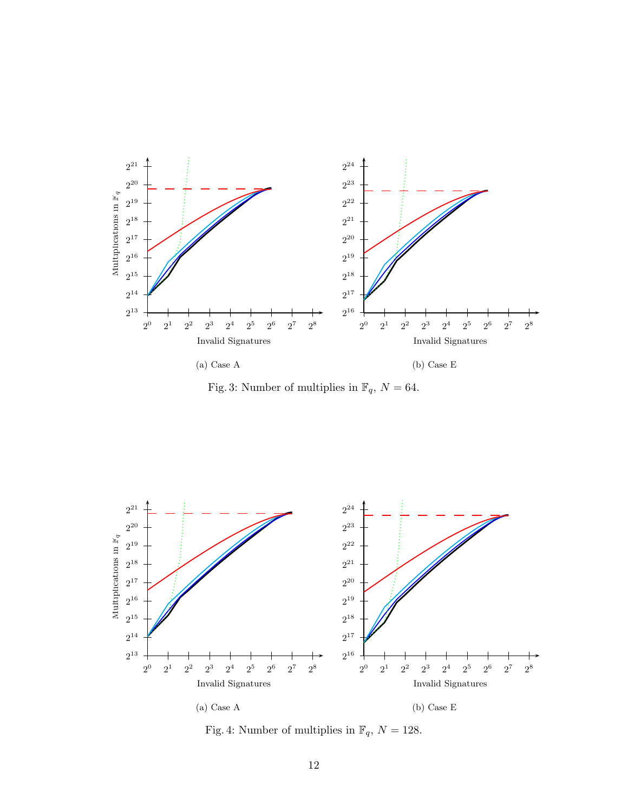

Fig. 3: Number of multiplies in  $\mathbb{F}_q, \, N=64.$ 



Fig. 4: Number of multiplies in  $\mathbb{F}_q, \, N=128.$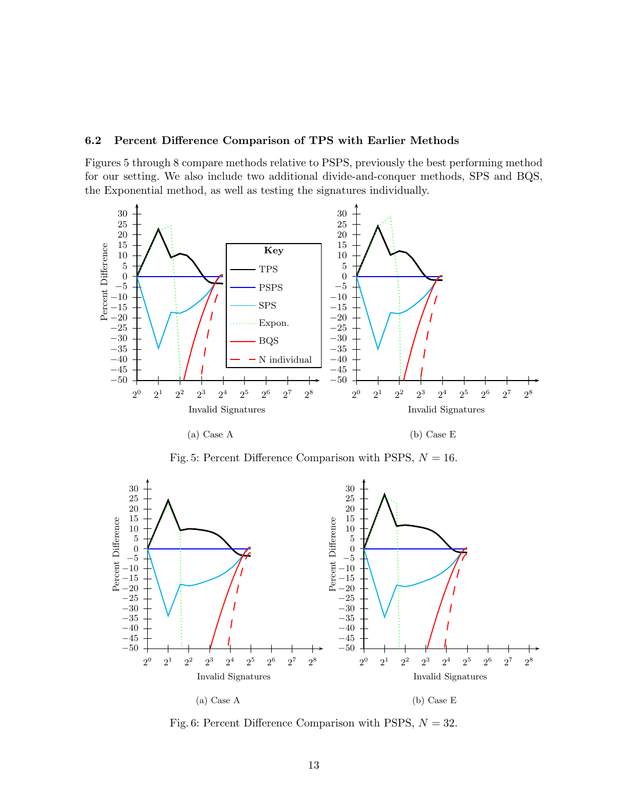## **6.2 Percent Difference Comparison of TPS with Earlier Methods**

Figures 5 through 8 compare methods relative to PSPS, previously the best performing method for our setting. We also include two additional divide-and-conquer methods, SPS and BQS, the Exponential method, as well as testing the signatures individually.



Fig. 5: Percent Difference Comparison with PSPS,  $N = 16$ .



Fig. 6: Percent Difference Comparison with PSPS,  $N = 32$ .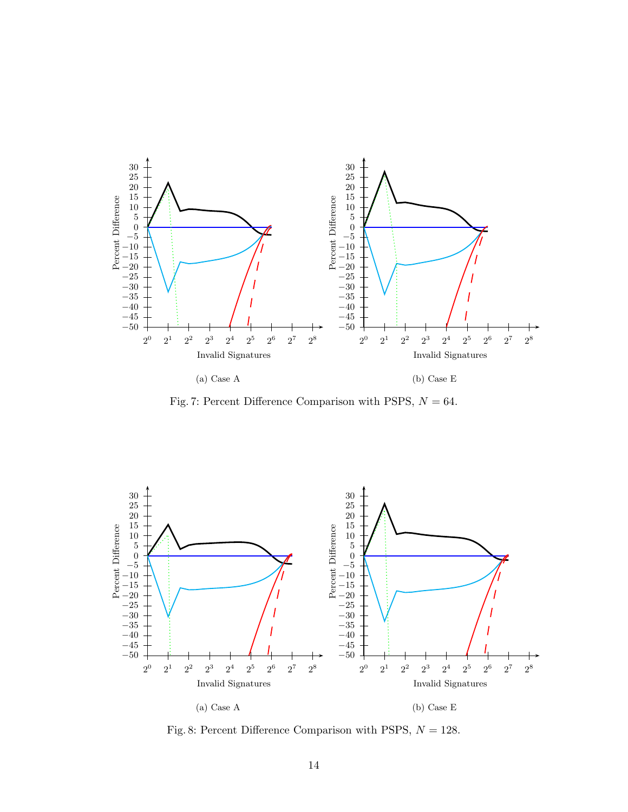

(a) Case A

(b) Case E

Fig. 7: Percent Difference Comparison with PSPS,  $N = 64$ .



Fig. 8: Percent Difference Comparison with PSPS,  $N = 128$ .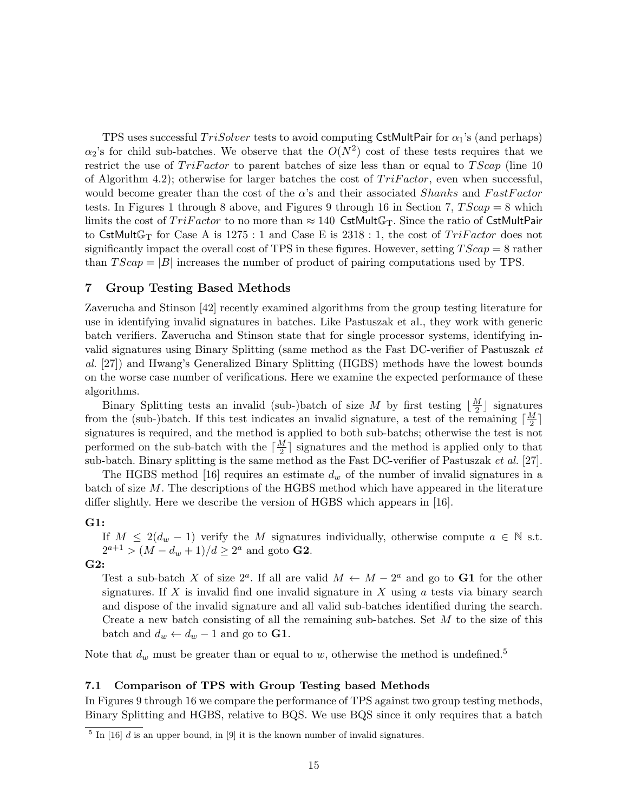TPS uses successful  $TriSolver$  tests to avoid computing CstMultPair for  $\alpha_1$ 's (and perhaps)  $\alpha_2$ 's for child sub-batches. We observe that the  $O(N^2)$  cost of these tests requires that we restrict the use of  $TriFactor$  to parent batches of size less than or equal to  $TScap$  (line 10 of Algorithm 4.2); otherwise for larger batches the cost of  $TriFactor$ , even when successful, would become greater than the cost of the  $\alpha$ 's and their associated *Shanks* and FastFactor tests. In Figures 1 through 8 above, and Figures 9 through 16 in Section 7,  $TScap = 8$  which limits the cost of  $TriFactor$  to no more than  $\approx 140$  CstMult $\mathbb{G}_T$ . Since the ratio of CstMultPair to CstMultG<sub>T</sub> for Case A is 1275 : 1 and Case E is 2318 : 1, the cost of  $TriFactor$  does not significantly impact the overall cost of TPS in these figures. However, setting  $TScap = 8$  rather than  $TScap = |B|$  increases the number of product of pairing computations used by TPS.

## **7 Group Testing Based Methods**

Zaverucha and Stinson [42] recently examined algorithms from the group testing literature for use in identifying invalid signatures in batches. Like Pastuszak et al., they work with generic batch verifiers. Zaverucha and Stinson state that for single processor systems, identifying invalid signatures using Binary Splitting (same method as the Fast DC-verifier of Pastuszak *et al.* [27]) and Hwang's Generalized Binary Splitting (HGBS) methods have the lowest bounds on the worse case number of verifications. Here we examine the expected performance of these algorithms.

Binary Splitting tests an invalid (sub-)batch of size M by first testing  $\lfloor \frac{M}{2} \rfloor$  signatures from the (sub-)batch. If this test indicates an invalid signature, a test of the remaining  $\lceil \frac{M}{2} \rceil$ signatures is required, and the method is applied to both sub-batchs; otherwise the test is not performed on the sub-batch with the  $\lceil \frac{M}{2} \rceil$  signatures and the method is applied only to that sub-batch. Binary splitting is the same method as the Fast DC-verifier of Pastuszak *et al.* [27].

The HGBS method [16] requires an estimate  $d_w$  of the number of invalid signatures in a batch of size M. The descriptions of the HGBS method which have appeared in the literature differ slightly. Here we describe the version of HGBS which appears in [16].

#### **G1:**

If  $M \leq 2(d_w - 1)$  verify the M signatures individually, otherwise compute  $a \in \mathbb{N}$  s.t.  $2^{a+1}$  >  $(M - d_w + 1)/d \geq 2^a$  and goto **G2**.

# **G2:**

Test a sub-batch X of size  $2^a$ . If all are valid  $M \leftarrow M - 2^a$  and go to **G1** for the other signatures. If X is invalid find one invalid signature in X using  $a$  tests via binary search and dispose of the invalid signature and all valid sub-batches identified during the search. Create a new batch consisting of all the remaining sub-batches. Set M to the size of this batch and  $d_w \leftarrow d_w - 1$  and go to **G1**.

Note that  $d_w$  must be greater than or equal to w, otherwise the method is undefined.<sup>5</sup>

## **7.1 Comparison of TPS with Group Testing based Methods**

In Figures 9 through 16 we compare the performance of TPS against two group testing methods, Binary Splitting and HGBS, relative to BQS. We use BQS since it only requires that a batch

 $\frac{5}{\sqrt{5}}$  In [16] d is an upper bound, in [9] it is the known number of invalid signatures.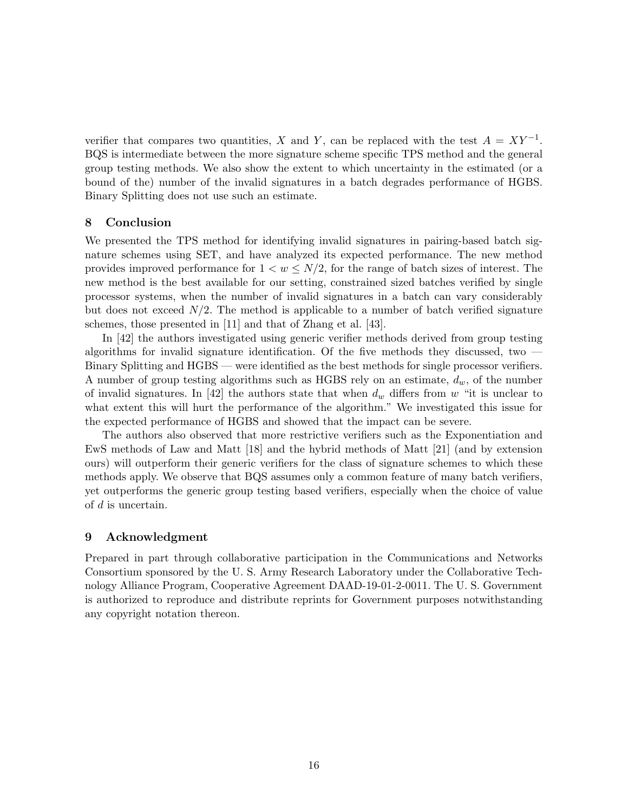verifier that compares two quantities, X and Y, can be replaced with the test  $A = XY^{-1}$ . BQS is intermediate between the more signature scheme specific TPS method and the general group testing methods. We also show the extent to which uncertainty in the estimated (or a bound of the) number of the invalid signatures in a batch degrades performance of HGBS. Binary Splitting does not use such an estimate.

## **8 Conclusion**

We presented the TPS method for identifying invalid signatures in pairing-based batch signature schemes using SET, and have analyzed its expected performance. The new method provides improved performance for  $1 < w \leq N/2$ , for the range of batch sizes of interest. The new method is the best available for our setting, constrained sized batches verified by single processor systems, when the number of invalid signatures in a batch can vary considerably but does not exceed  $N/2$ . The method is applicable to a number of batch verified signature schemes, those presented in [11] and that of Zhang et al. [43].

In [42] the authors investigated using generic verifier methods derived from group testing algorithms for invalid signature identification. Of the five methods they discussed, two  $-$ Binary Splitting and HGBS — were identified as the best methods for single processor verifiers. A number of group testing algorithms such as HGBS rely on an estimate, d*w*, of the number of invalid signatures. In [42] the authors state that when  $d_w$  differs from w "it is unclear to what extent this will hurt the performance of the algorithm." We investigated this issue for the expected performance of HGBS and showed that the impact can be severe.

The authors also observed that more restrictive verifiers such as the Exponentiation and EwS methods of Law and Matt [18] and the hybrid methods of Matt [21] (and by extension ours) will outperform their generic verifiers for the class of signature schemes to which these methods apply. We observe that BQS assumes only a common feature of many batch verifiers, yet outperforms the generic group testing based verifiers, especially when the choice of value of d is uncertain.

#### **9 Acknowledgment**

Prepared in part through collaborative participation in the Communications and Networks Consortium sponsored by the U. S. Army Research Laboratory under the Collaborative Technology Alliance Program, Cooperative Agreement DAAD-19-01-2-0011. The U. S. Government is authorized to reproduce and distribute reprints for Government purposes notwithstanding any copyright notation thereon.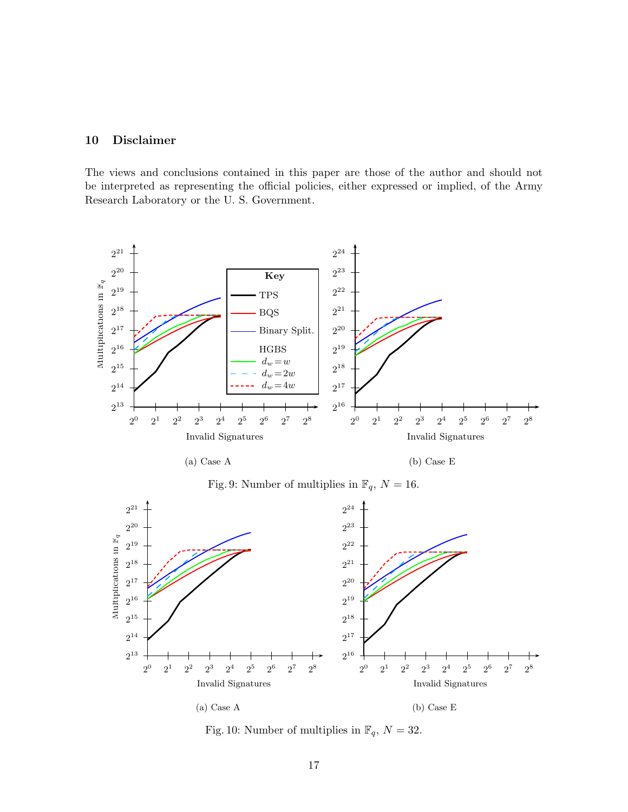## **10 Disclaimer**

The views and conclusions contained in this paper are those of the author and should not be interpreted as representing the official policies, either expressed or implied, of the Army Research Laboratory or the U. S. Government.





(b) Case E





Fig. 10: Number of multiplies in  $\mathbb{F}_q, \, N=32.$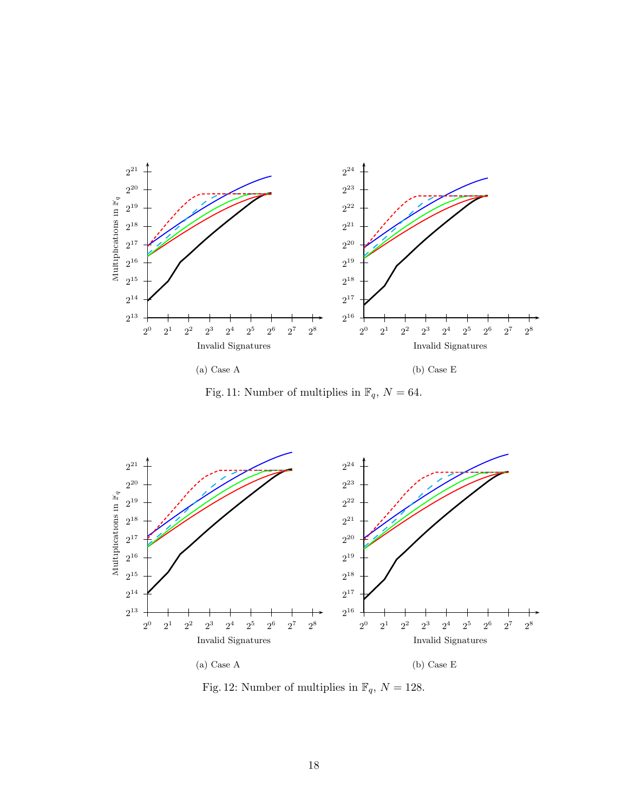

Fig. 11: Number of multiplies in  $\mathbb{F}_q$ ,  $N = 64$ .



Fig. 12: Number of multiplies in  $\mathbb{F}_q, \, N=128.$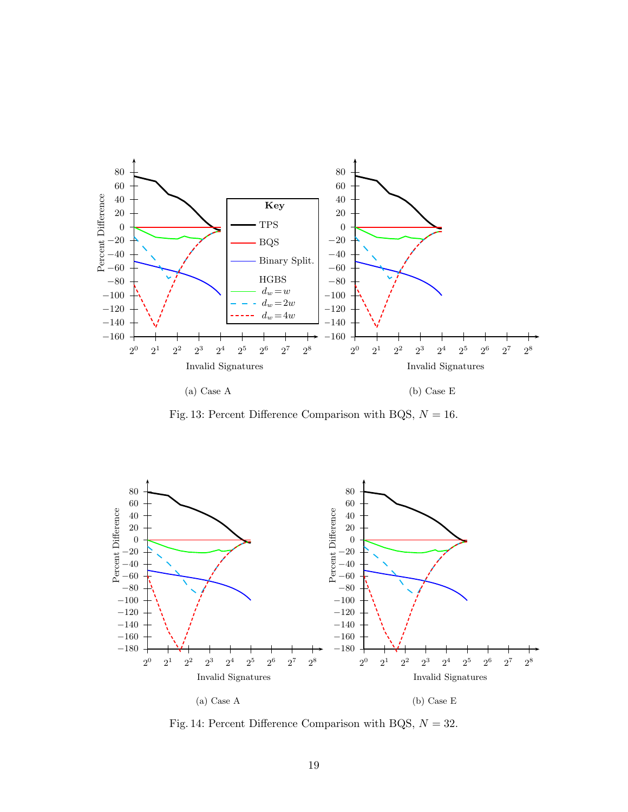

Fig. 13: Percent Difference Comparison with BQS,  $N = 16$ .



Fig. 14: Percent Difference Comparison with BQS,  $N = 32$ .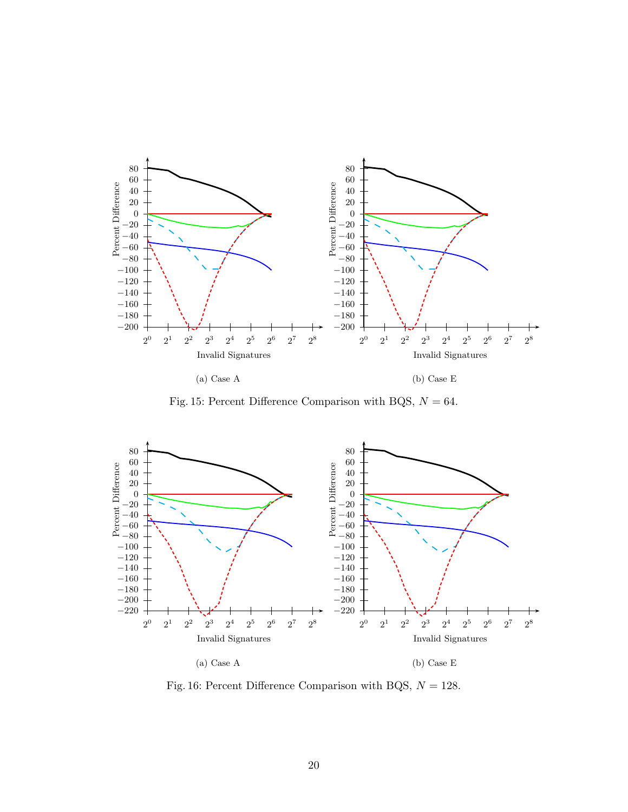

(a) Case A

(b) Case E

Fig. 15: Percent Difference Comparison with BQS,  $N = 64$ .



Fig. 16: Percent Difference Comparison with BQS,  $N = 128$ .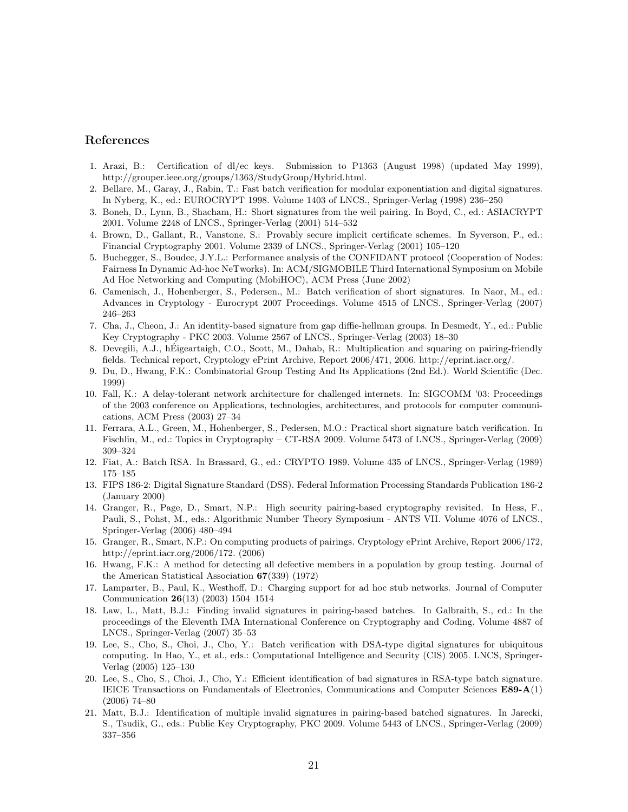#### **References**

- 1. Arazi, B.: Certification of dl/ec keys. Submission to P1363 (August 1998) (updated May 1999), http://grouper.ieee.org/groups/1363/StudyGroup/Hybrid.html.
- 2. Bellare, M., Garay, J., Rabin, T.: Fast batch verification for modular exponentiation and digital signatures. In Nyberg, K., ed.: EUROCRYPT 1998. Volume 1403 of LNCS., Springer-Verlag (1998) 236–250
- 3. Boneh, D., Lynn, B., Shacham, H.: Short signatures from the weil pairing. In Boyd, C., ed.: ASIACRYPT 2001. Volume 2248 of LNCS., Springer-Verlag (2001) 514–532
- 4. Brown, D., Gallant, R., Vanstone, S.: Provably secure implicit certificate schemes. In Syverson, P., ed.: Financial Cryptography 2001. Volume 2339 of LNCS., Springer-Verlag (2001) 105–120
- 5. Buchegger, S., Boudec, J.Y.L.: Performance analysis of the CONFIDANT protocol (Cooperation of Nodes: Fairness In Dynamic Ad-hoc NeTworks). In: ACM/SIGMOBILE Third International Symposium on Mobile Ad Hoc Networking and Computing (MobiHOC), ACM Press (June 2002)
- 6. Camenisch, J., Hohenberger, S., Pedersen., M.: Batch verification of short signatures. In Naor, M., ed.: Advances in Cryptology - Eurocrypt 2007 Proceedings. Volume 4515 of LNCS., Springer-Verlag (2007) 246–263
- 7. Cha, J., Cheon, J.: An identity-based signature from gap diffie-hellman groups. In Desmedt, Y., ed.: Public Key Cryptography - PKC 2003. Volume 2567 of LNCS., Springer-Verlag (2003) 18–30
- 8. Devegili, A.J., hEigeartaigh, C.O., Scott, M., Dahab, R.: Multiplication and squaring on pairing-friendly ´ fields. Technical report, Cryptology ePrint Archive, Report 2006/471, 2006. http://eprint.iacr.org/.
- 9. Du, D., Hwang, F.K.: Combinatorial Group Testing And Its Applications (2nd Ed.). World Scientific (Dec. 1999)
- 10. Fall, K.: A delay-tolerant network architecture for challenged internets. In: SIGCOMM '03: Proceedings of the 2003 conference on Applications, technologies, architectures, and protocols for computer communications, ACM Press (2003) 27–34
- 11. Ferrara, A.L., Green, M., Hohenberger, S., Pedersen, M.O.: Practical short signature batch verification. In Fischlin, M., ed.: Topics in Cryptography – CT-RSA 2009. Volume 5473 of LNCS., Springer-Verlag (2009) 309–324
- 12. Fiat, A.: Batch RSA. In Brassard, G., ed.: CRYPTO 1989. Volume 435 of LNCS., Springer-Verlag (1989) 175–185
- 13. FIPS 186-2: Digital Signature Standard (DSS). Federal Information Processing Standards Publication 186-2 (January 2000)
- 14. Granger, R., Page, D., Smart, N.P.: High security pairing-based cryptography revisited. In Hess, F., Pauli, S., Pohst, M., eds.: Algorithmic Number Theory Symposium - ANTS VII. Volume 4076 of LNCS., Springer-Verlag (2006) 480–494
- 15. Granger, R., Smart, N.P.: On computing products of pairings. Cryptology ePrint Archive, Report 2006/172, http://eprint.iacr.org/2006/172. (2006)
- 16. Hwang, F.K.: A method for detecting all defective members in a population by group testing. Journal of the American Statistical Association **67**(339) (1972)
- 17. Lamparter, B., Paul, K., Westhoff, D.: Charging support for ad hoc stub networks. Journal of Computer Communication **26**(13) (2003) 1504–1514
- 18. Law, L., Matt, B.J.: Finding invalid signatures in pairing-based batches. In Galbraith, S., ed.: In the proceedings of the Eleventh IMA International Conference on Cryptography and Coding. Volume 4887 of LNCS., Springer-Verlag (2007) 35–53
- 19. Lee, S., Cho, S., Choi, J., Cho, Y.: Batch verification with DSA-type digital signatures for ubiquitous computing. In Hao, Y., et al., eds.: Computational Intelligence and Security (CIS) 2005. LNCS, Springer-Verlag (2005) 125–130
- 20. Lee, S., Cho, S., Choi, J., Cho, Y.: Efficient identification of bad signatures in RSA-type batch signature. IEICE Transactions on Fundamentals of Electronics, Communications and Computer Sciences **E89-A**(1) (2006) 74–80
- 21. Matt, B.J.: Identification of multiple invalid signatures in pairing-based batched signatures. In Jarecki, S., Tsudik, G., eds.: Public Key Cryptography, PKC 2009. Volume 5443 of LNCS., Springer-Verlag (2009) 337–356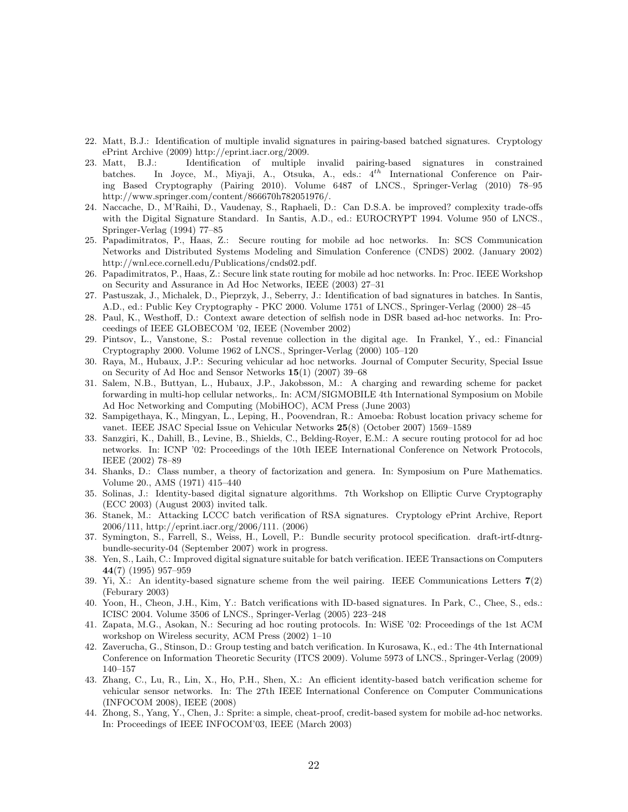- 22. Matt, B.J.: Identification of multiple invalid signatures in pairing-based batched signatures. Cryptology ePrint Archive (2009) http://eprint.iacr.org/2009.
- 23. Matt, B.J.: Identification of multiple invalid pairing-based signatures in constrained batches. In Joyce, M., Miyaji, A., Otsuka, A., eds.: 4*th* International Conference on Pairing Based Cryptography (Pairing 2010). Volume 6487 of LNCS., Springer-Verlag (2010) 78–95 http://www.springer.com/content/866670h782051976/.
- 24. Naccache, D., M'Raihi, D., Vaudenay, S., Raphaeli, D.: Can D.S.A. be improved? complexity trade-offs with the Digital Signature Standard. In Santis, A.D., ed.: EUROCRYPT 1994. Volume 950 of LNCS., Springer-Verlag (1994) 77–85
- 25. Papadimitratos, P., Haas, Z.: Secure routing for mobile ad hoc networks. In: SCS Communication Networks and Distributed Systems Modeling and Simulation Conference (CNDS) 2002. (January 2002) http://wnl.ece.cornell.edu/Publications/cnds02.pdf.
- 26. Papadimitratos, P., Haas, Z.: Secure link state routing for mobile ad hoc networks. In: Proc. IEEE Workshop on Security and Assurance in Ad Hoc Networks, IEEE (2003) 27–31
- 27. Pastuszak, J., Michalek, D., Pieprzyk, J., Seberry, J.: Identification of bad signatures in batches. In Santis, A.D., ed.: Public Key Cryptography - PKC 2000. Volume 1751 of LNCS., Springer-Verlag (2000) 28–45
- 28. Paul, K., Westhoff, D.: Context aware detection of selfish node in DSR based ad-hoc networks. In: Proceedings of IEEE GLOBECOM '02, IEEE (November 2002)
- 29. Pintsov, L., Vanstone, S.: Postal revenue collection in the digital age. In Frankel, Y., ed.: Financial Cryptography 2000. Volume 1962 of LNCS., Springer-Verlag (2000) 105–120
- 30. Raya, M., Hubaux, J.P.: Securing vehicular ad hoc networks. Journal of Computer Security, Special Issue on Security of Ad Hoc and Sensor Networks **15**(1) (2007) 39–68
- 31. Salem, N.B., Buttyan, L., Hubaux, J.P., Jakobsson, M.: A charging and rewarding scheme for packet forwarding in multi-hop cellular networks,. In: ACM/SIGMOBILE 4th International Symposium on Mobile Ad Hoc Networking and Computing (MobiHOC), ACM Press (June 2003)
- 32. Sampigethaya, K., Mingyan, L., Leping, H., Poovendran, R.: Amoeba: Robust location privacy scheme for vanet. IEEE JSAC Special Issue on Vehicular Networks **25**(8) (October 2007) 1569–1589
- 33. Sanzgiri, K., Dahill, B., Levine, B., Shields, C., Belding-Royer, E.M.: A secure routing protocol for ad hoc networks. In: ICNP '02: Proceedings of the 10th IEEE International Conference on Network Protocols, IEEE (2002) 78–89
- 34. Shanks, D.: Class number, a theory of factorization and genera. In: Symposium on Pure Mathematics. Volume 20., AMS (1971) 415–440
- 35. Solinas, J.: Identity-based digital signature algorithms. 7th Workshop on Elliptic Curve Cryptography (ECC 2003) (August 2003) invited talk.
- 36. Stanek, M.: Attacking LCCC batch verification of RSA signatures. Cryptology ePrint Archive, Report 2006/111, http://eprint.iacr.org/2006/111. (2006)
- 37. Symington, S., Farrell, S., Weiss, H., Lovell, P.: Bundle security protocol specification. draft-irtf-dtnrgbundle-security-04 (September 2007) work in progress.
- 38. Yen, S., Laih, C.: Improved digital signature suitable for batch verification. IEEE Transactions on Computers **44**(7) (1995) 957–959
- 39. Yi, X.: An identity-based signature scheme from the weil pairing. IEEE Communications Letters **7**(2) (Feburary 2003)
- 40. Yoon, H., Cheon, J.H., Kim, Y.: Batch verifications with ID-based signatures. In Park, C., Chee, S., eds.: ICISC 2004. Volume 3506 of LNCS., Springer-Verlag (2005) 223–248
- 41. Zapata, M.G., Asokan, N.: Securing ad hoc routing protocols. In: WiSE '02: Proceedings of the 1st ACM workshop on Wireless security, ACM Press (2002) 1–10
- 42. Zaverucha, G., Stinson, D.: Group testing and batch verification. In Kurosawa, K., ed.: The 4th International Conference on Information Theoretic Security (ITCS 2009). Volume 5973 of LNCS., Springer-Verlag (2009) 140–157
- 43. Zhang, C., Lu, R., Lin, X., Ho, P.H., Shen, X.: An efficient identity-based batch verification scheme for vehicular sensor networks. In: The 27th IEEE International Conference on Computer Communications (INFOCOM 2008), IEEE (2008)
- 44. Zhong, S., Yang, Y., Chen, J.: Sprite: a simple, cheat-proof, credit-based system for mobile ad-hoc networks. In: Proceedings of IEEE INFOCOM'03, IEEE (March 2003)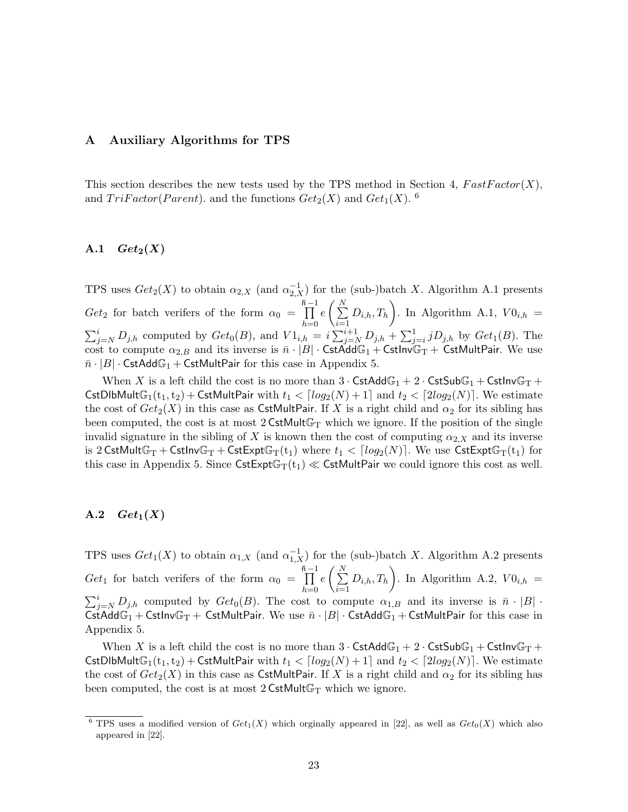## **A Auxiliary Algorithms for TPS**

This section describes the new tests used by the TPS method in Section 4,  $FastFactor(X)$ , and  $TriFactor(Parent)$ , and the functions  $Get_2(X)$  and  $Get_1(X)$ . <sup>6</sup>

# A.1  $Get_2(X)$

TPS uses  $Get_2(X)$  to obtain  $\alpha_{2,X}$  (and  $\alpha_{2,X}^{-1}$ ) for the (sub-)batch X. Algorithm A.1 presents  $Get_2$  for batch verifers of the form  $\alpha_0 = \prod_{i=1}^{\bar{n}-1}$ *h*=0  $e\left(\frac{N}{\sum}\right)$ *i*=1  $(D_{i,h}, T_h)$ . In Algorithm A.1,  $V0_{i,h} =$  $\sum_{j=N}^{i} D_{j,h}$  computed by  $Get_0(B)$ , and  $V1_{i,h} = i \sum_{j=N}^{i+1} D_{j,h} + \sum_{j=i}^{1} i D_{j,h}$  by  $Get_1(B)$ . The cost to compute  $\alpha_{2,B}$  and its inverse is  $\bar{n} \cdot |B| \cdot \textsf{CstAdd}\mathbb{G}_1 + \textsf{CstInv}\mathbb{G}_T + \textsf{CstMultPair}.$  We use  $\bar{n} \cdot |B| \cdot \textsf{CstAdd}\mathbb{G}_1 + \textsf{CstMultPair}$  for this case in Appendix 5.

When X is a left child the cost is no more than  $3 \cdot \text{CstAdd}\mathbb{G}_1 + 2 \cdot \text{CstSub}\mathbb{G}_1 + \text{CstInv}\mathbb{G}_T +$ CstDlbMult $\mathbb{G}_1(t_1,t_2)$  + CstMultPair with  $t_1 < \lceil log_2(N) + 1 \rceil$  and  $t_2 < \lceil 2log_2(N) \rceil$ . We estimate the cost of  $Get_2(X)$  in this case as CstMultPair. If X is a right child and  $\alpha_2$  for its sibling has been computed, the cost is at most  $2 \text{CstMultG}_T$  which we ignore. If the position of the single invalid signature in the sibling of X is known then the cost of computing  $\alpha_{2,X}$  and its inverse is 2 CstMult $\mathbb{G}_{T}$  + Cstlnv $\mathbb{G}_{T}$  + CstExpt $\mathbb{G}_{T}(t_1)$  where  $t_1 < \lceil log_2(N) \rceil$ . We use CstExpt $\mathbb{G}_{T}(t_1)$  for this case in Appendix 5. Since  $\textsf{CstExpt}\mathbb{G}_{T}(t_1) \ll \textsf{CstMultPair}$  we could ignore this cost as well.

## A.2  $Get_1(X)$

TPS uses  $Get_1(X)$  to obtain  $\alpha_{1,X}$  (and  $\alpha_{1,X}^{-1}$ ) for the (sub-)batch X. Algorithm A.2 presents  $Get_1$  for batch verifers of the form  $\alpha_0 = \prod_{i=1}^{\bar{n}-1}$ *h*=0  $e\left(\frac{N}{\sum}\right)$ *i*=1  $(D_{i,h}, T_h)$ . In Algorithm A.2,  $V0_{i,h} =$  $\sum_{j=N}^{i} D_{j,h}$  computed by  $Get_0(B)$ . The cost to compute  $\alpha_{1,B}$  and its inverse is  $\bar{n} \cdot |B|$ . CstAdd $\mathbb{G}_1$  + CstInv $\mathbb{G}_T$  + CstMultPair. We use  $\bar{n} \cdot |B|$  · CstAdd $\mathbb{G}_1$  + CstMultPair for this case in Appendix 5.

When X is a left child the cost is no more than  $3 \cdot \text{CstAdd}\mathbb{G}_1 + 2 \cdot \text{CstSub}\mathbb{G}_1 + \text{CstInv}\mathbb{G}_T +$ CstDlbMultG<sub>1</sub>(t<sub>1</sub>,t<sub>2</sub>) + CstMultPair with  $t_1 < \lceil log_2(N) + 1 \rceil$  and  $t_2 < \lceil 2log_2(N) \rceil$ . We estimate the cost of  $Get_2(X)$  in this case as CstMultPair. If X is a right child and  $\alpha_2$  for its sibling has been computed, the cost is at most  $2 \text{CstMult}\mathbb{G}_{T}$  which we ignore.

<sup>&</sup>lt;sup>6</sup> TPS uses a modified version of  $Get_1(X)$  which orginally appeared in [22], as well as  $Get_0(X)$  which also appeared in [22].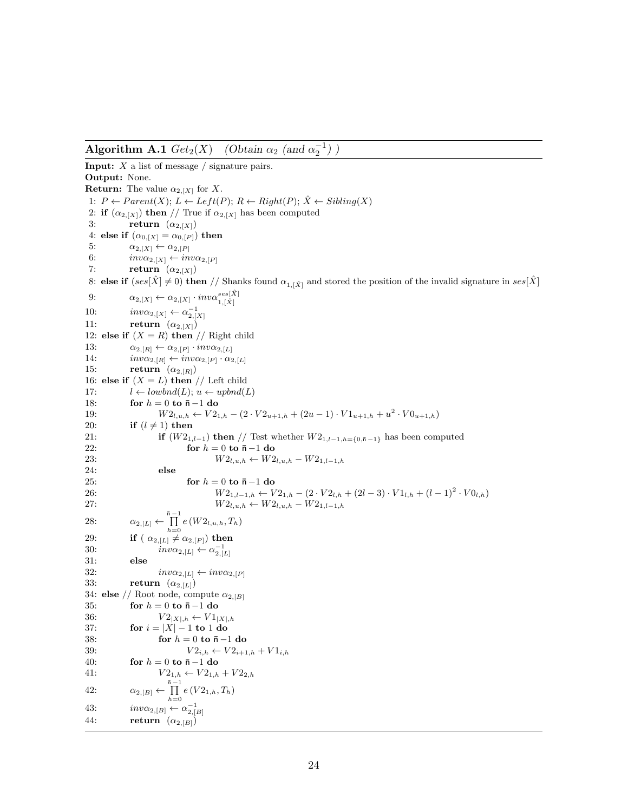**Algorithm A.1**  $Get_2(X)$  *(Obtain*  $\alpha_2$  *(and*  $\alpha_2^{-1}$ *) )* 

**Input:** X a list of message / signature pairs. **Output:** None. **Return:** The value  $\alpha_{2,[X]}$  for X. 1:  $P \leftarrow Parent(X); L \leftarrow Left(P); R \leftarrow Right(P); \hat{X} \leftarrow Sibling(X)$ 2: **if**  $(\alpha_{2,[X]})$  **then** // True if  $\alpha_{2,[X]}$  has been computed 3: **return**  $(\alpha_{2,[X]})$ 4: **else if**  $(\alpha_{0,[X]} = \alpha_{0,[P]})$  **then** 5:  $\alpha_{2,[X]} \leftarrow \alpha_{2,[P]}$ <br>6:  $inv\alpha_{2,[X]} \leftarrow in$ 6:  $inv\alpha_{2,[X]} \leftarrow inv\alpha_{2,[P]}$ <br>7: **return**  $(\alpha_{2,[X]})$  $return \ (\alpha_{2,[X]})$ 8: **else if**  $(ses[\hat{X}] \neq 0)$  **then** // Shanks found  $\alpha_{1, [\hat{X}]}$  and stored the position of the invalid signature in  $ses[\hat{X}]$ 9:  $\alpha_{2,[X]} \leftarrow \alpha_{2,[X]} \cdot inv\alpha_{1,[\hat{X}]}^{ses[\hat{X}]}$ 10:  $inv\alpha_{2,[X]} \leftarrow \alpha_{2,[X]}^{-1}$ 11: **return**  $(\alpha_{2,[X]})$ 12: **else if**  $(X = R)$  **then** // Right child 13:  $\alpha_{2,[R]} \leftarrow \alpha_{2,[P]} \cdot inv\alpha_{2,[L]}$ <br>14:  $inv\alpha_{2,[R]} \leftarrow inv\alpha_{2,[P]} \cdot \alpha_2$ 14:  $inv\alpha_{2,[R]} \leftarrow inv\alpha_{2,[P]} \cdot \alpha_{2,[L]}$ <br>15: **return**  $(\alpha_{2,[R]})$  $return \ (\alpha_{2,[R]})$ 16: **else if**  $(X = L)$  **then** // Left child 17:  $l \leftarrow \text{lowbnd}(L); u \leftarrow \text{upbnd}(L)$ <br>18: **for**  $h = 0$  **to**  $\bar{n} - 1$  **do** 18: **for**  $h = 0$  **to**  $\bar{n} - 1$  **do**<br>19:  $W2_{l,n}$   $k \leftarrow V2_1$ 19:  $W2_{l,u,h} \leftarrow V2_{1,h} - (2 \cdot V2_{u+1,h} + (2u-1) \cdot V1_{u+1,h} + u^2 \cdot V0_{u+1,h})$ <br>20: **if**  $(l \neq 1)$  then 20: **if**  $(l \neq 1)$  **then**<br>21: **if**  $(W2_1)$ 21: **if**  $(W2_{1,l-1})$  **then** // Test whether  $W2_{1,l-1,h=\{0,\bar{n}-1\}}$  has been computed 22: 22: **for**  $h = 0$  **to**  $\bar{n} - 1$  **do**<br>23:  $W2_{l,u,h} \leftarrow W2$ 23:  $W2_{l,u,h} \leftarrow W2_{l,u,h} - W2_{1,l-1,h}$ <br>24: else 24: **else** 25: **for**  $h = 0$  **to**  $\bar{n} - 1$  **do**<br>26:  $W2_{1,l-1,h} \leftarrow V$ 26:  $W_{21,l-1,h} \leftarrow V_{21,h} - (2 \cdot V_{2l,h} + (2l-3) \cdot V_{1l,h} + (l-1)^2 \cdot V_{1h})$ <br>  $W_{2l} \leftarrow W_{2l} \leftarrow W_{2l} \leftarrow W_{2l-1,h}$  $W2_{l, u, h}$  ←  $W2_{l, u, h}$  –  $W2_{1, l-1, h}$ 28:  $\alpha_{2,[L]} \leftarrow \prod_{h=0}^{\bar{n}-1} e(W2_{l,u,h}, T_h)$ 29: **if**  $(\alpha_{2,[L]} \neq \alpha_{2,[P]})$  then<br>30:  $inv\alpha_{2,[L]} \leftarrow \alpha_{2,[L]}^{-1}$ 30:  $inv\alpha_{2,[L]} \leftarrow \alpha_{2,[L]}^{-1}$ 31: **else** 32:  $inv\alpha_{2,[L]} \leftarrow inv\alpha_{2,[P]}$ <br>33: **return**  $(\alpha_{2,[L]})$  $return \ (\alpha_{2,[L]})$ 34: **else** // Root node, compute  $\alpha_{2,[B]}$ 35: **for**  $h = 0$  **to**  $\bar{n} - 1$  **do**<br>36:  $V2_{|X|h} \leftarrow V1_1$ 36:  $V2_{|X|,h} \leftarrow V1_{|X|,h}$ <br>37: **for**  $i = |X| - 1$  **to** 1 **do** 37: **for**  $i = |X| - 1$  **to** 1 **do**<br>38: **for**  $h = 0$  **to**  $\bar{n} - \bar{n}$ 38: **for**  $h = 0$  **to**  $\bar{n} - 1$  **do**<br>39:  $V2_{i, h} \leftarrow V2_{i+1}$ 39:  $V2_{i,h} \leftarrow V2_{i+1,h} + V1_{i,h}$ <br>40: **for**  $h = 0$  to  $\bar{n} - 1$  do 40: **for**  $h = 0$  **to**  $\bar{n} - 1$  **do**<br>41:  $V2_{1,h} \leftarrow V2_{1,h}$  $V2_{1,h} \leftarrow V2_{1,h} + V2_{2,h}$ 42:  $\alpha_{2,[B]} \leftarrow \prod_{i=1}^{\bar{n}-1} e(V_{2i,h}, T_h)$  $h=0$ 43:  $inv\alpha_{2,[B]} \leftarrow \alpha_{2,[B]}^{-1}$ 44: **return**  $(\alpha_{2,[B]})$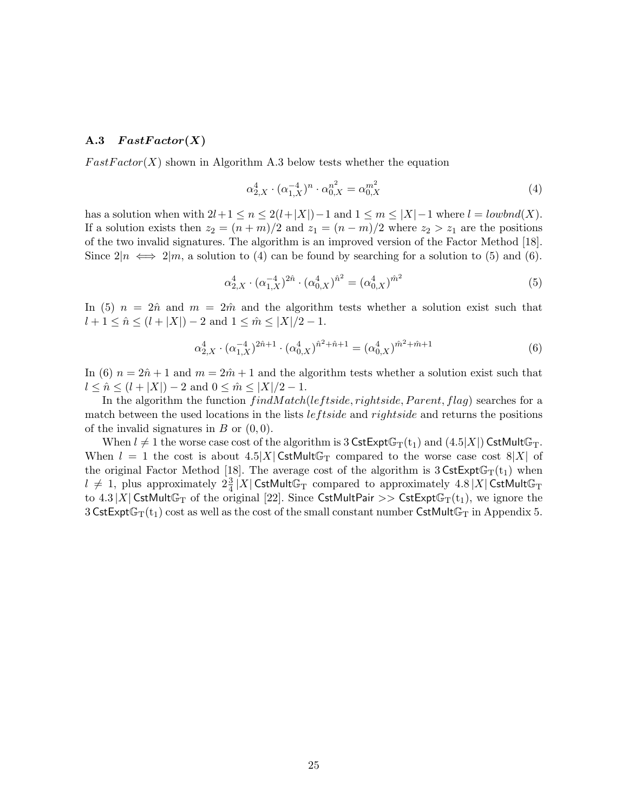#### A.3  $FastFactor(X)$

 $FastFactor(X)$  shown in Algorithm A.3 below tests whether the equation

$$
\alpha_{2,X}^4 \cdot (\alpha_{1,X}^{-4})^n \cdot \alpha_{0,X}^{n^2} = \alpha_{0,X}^{m^2}
$$
 (4)

has a solution when with  $2l+1 \leq n \leq 2(l+|X|)-1$  and  $1 \leq m \leq |X|-1$  where  $l = \text{lowbnd}(X)$ . If a solution exists then  $z_2 = (n + m)/2$  and  $z_1 = (n - m)/2$  where  $z_2 > z_1$  are the positions of the two invalid signatures. The algorithm is an improved version of the Factor Method [18]. Since  $2|n \iff 2|m$ , a solution to (4) can be found by searching for a solution to (5) and (6).

$$
\alpha_{2,X}^4 \cdot (\alpha_{1,X}^{-4})^{2\hat{n}} \cdot (\alpha_{0,X}^4)^{\hat{n}^2} = (\alpha_{0,X}^4)^{\hat{m}^2}
$$
\n(5)

In (5)  $n = 2\hat{n}$  and  $m = 2\hat{m}$  and the algorithm tests whether a solution exist such that  $l + 1 \leq \hat{n} \leq (l + |X|) - 2$  and  $1 \leq \hat{m} \leq |X|/2 - 1$ .

$$
\alpha_{2,X}^4 \cdot (\alpha_{1,X}^{-4})^{2\hat{n}+1} \cdot (\alpha_{0,X}^4)^{\hat{n}^2+\hat{n}+1} = (\alpha_{0,X}^4)^{\hat{m}^2+\hat{m}+1}
$$
(6)

In (6)  $n = 2\hat{n} + 1$  and  $m = 2\hat{m} + 1$  and the algorithm tests whether a solution exist such that  $l \leq \hat{n} \leq (l + |X|) - 2$  and  $0 \leq \hat{m} \leq |X|/2 - 1$ .

In the algorithm the function  $findMatch(leftside, right, Parent, flag)$  searches for a match between the used locations in the lists  $lefted$  and  $righted$  and returns the positions of the invalid signatures in  $B$  or  $(0, 0)$ .

When  $l \neq 1$  the worse case cost of the algorithm is 3 CstExpt $\mathbb{G}_{T}(\mathfrak{t}_{1})$  and  $(4.5|X|)$  CstMult $\mathbb{G}_{T}$ . When  $l = 1$  the cost is about  $4.5|X|$  CstMultG<sub>T</sub> compared to the worse case cost  $8|X|$  of the original Factor Method [18]. The average cost of the algorithm is  $3 \text{CstExpt}\mathbb{G}_{T}(t_1)$  when  $l \neq 1$ , plus approximately  $2\frac{3}{4}$   $|X|$  CstMultG<sub>T</sub> compared to approximately  $4.8$  |X| CstMultG<sub>T</sub> to 4.3 |X| CstMultG<sub>T</sub> of the original [22]. Since CstMultPair >> CstExptG<sub>T</sub>(t<sub>1</sub>), we ignore the 3 CstExpt $\mathbb{G}_{T}(t_1)$  cost as well as the cost of the small constant number CstMult $\mathbb{G}_{T}$  in Appendix 5.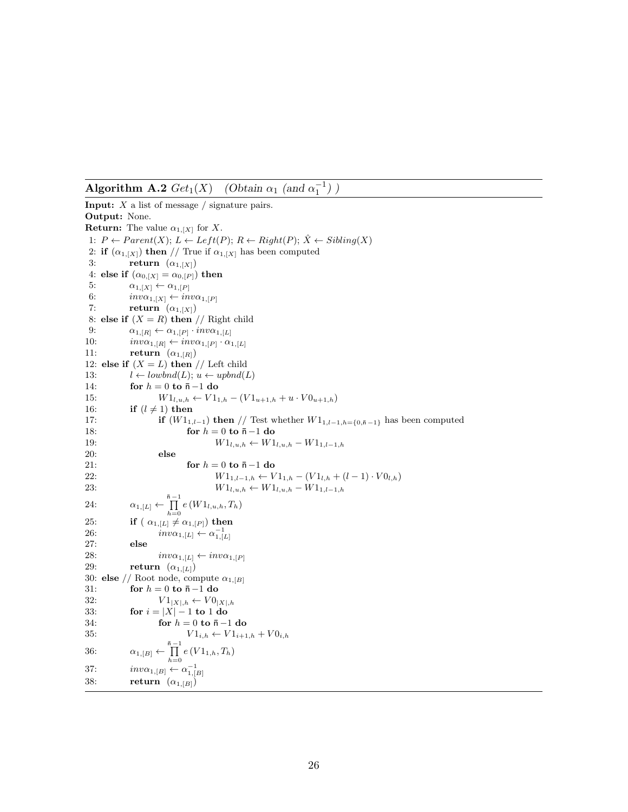**Algorithm A.2**  $Get_1(X)$ (Obtain  $\alpha_1$  (and  $\alpha_1^{-1}$ )

**Input:** X a list of message / signature pairs. **Output:** None. **Return:** The value  $\alpha_{1,[X]}$  for X. 1:  $P \leftarrow Parent(X); L \leftarrow Left(P); R \leftarrow Right(P); \hat{X} \leftarrow Sibling(X)$ 2: **if**  $(\alpha_{1,[X]})$  **then** // True if  $\alpha_{1,[X]}$  has been computed 3: **return**  $(\alpha_{1,[X]})$ 4: **else if**  $(\alpha_{0, [X]} = \alpha_{0, [P]})$  **then** 5:  $\alpha_{1,[X]} \leftarrow \alpha_{1,[P]}$ <br>6:  $inv\alpha_{1,[X]} \leftarrow in$ 6:  $inv\alpha_{1,[X]} \leftarrow inv\alpha_{1,[P]}$ <br>7: **return**  $(\alpha_{1,[X]})$  $return \ (\alpha_{1,[X]})$ 8: **else if**  $(X = R)$  **then** // Right child 9:  $\alpha_{1,[R]} \leftarrow \alpha_{1,[P]} \cdot inv\alpha_{1,[L]}$ <br>10:  $inv\alpha_{1,[R]} \leftarrow inv\alpha_{1,[P]} \cdot \alpha_1$ 10:  $inv\alpha_{1,[R]} \leftarrow inv\alpha_{1,[P]} \cdot \alpha_{1,[L]}$ <br>11: **return**  $(\alpha_{1,[R]})$  $return \(\alpha_{1,[R]})$ 12: **else if**  $(X = L)$  **then** // Left child 13:  $l \leftarrow \text{lowbnd}(L); u \leftarrow \text{upbnd}(L)$ <br>14: **for**  $h = 0$  **to**  $\bar{n} - 1$  **do** 14: **for**  $h = 0$  **to**  $\bar{n} - 1$  **do**<br>15:  $W1_{l,u,h} \leftarrow V1_1$ 15:  $W1_{l,u,h} \leftarrow V1_{1,h} - (V1_{u+1,h} + u \cdot V0_{u+1,h})$ <br>16: **if**  $(l \neq 1)$  then 16: **if**  $(l \neq 1)$  **then**<br>17: **if**  $(W1)$ 17: **if**  $(W1_{1,l-1})$  **then** // Test whether  $W1_{1,l-1,h=\{0,\bar{n}-1\}}$  has been computed 18: 18: **for**  $h = 0$  **to**  $\bar{n} - 1$  **do**<br>19:  $W1_{l,u,h} \leftarrow W1$ 19:  $W1_{l,u,h} \leftarrow W1_{l,u,h} - W1_{1,l-1,h}$ <br>20: else 20: **else** 21: **for**  $h = 0$  **to**  $\bar{n} - 1$  **do**<br>22:  $W1_{1 l - 1 h} \leftarrow V$ 22:  $W1_{1,l-1,h} \leftarrow V1_{1,h} - (V1_{l,h} + (l-1) \cdot V0_{l,h})$ <br>23:  $W1_{l,h,h} \leftarrow W1_{l,h,h} - W1_{1,l-1,h}$  $W1_{l,u,h}$  ←  $W1_{l,u,h}$  –  $W1_{1,l-1,h}$ 24:  $\alpha_{1,[L]} \leftarrow \prod_{h=0}^{\bar{n}-1} e(W1_{l,u,h}, T_h)$ 25: **if**  $(\alpha_{1,[L]}\neq \alpha_{1,[P]})$  then 26:  $inv\alpha_{1,[L]} \leftarrow \alpha_{1,[L]}^{-1}$ 27: **else** 28:  $inv\alpha_{1,[L]} \leftarrow inv\alpha_{1,[P]}$ <br>29: **return**  $(\alpha_{1,[L]})$  $return \ (\alpha_{1,[L]})$ 30: **else** // Root node, compute  $\alpha_{1,[B]}$ 31: **for**  $h = 0$  **to**  $\bar{n} - 1$  **do**<br>32:  $V1_{|X|, h} \leftarrow V0_1$ 32:  $V1_{|X|,h} \leftarrow V0_{|X|,h}$ 33: **for**  $i = |X| - 1$  **to** 1 **do** 34: **for**  $h = 0$  **to**  $\bar{n} - 1$  **do**<br>35:  $V1_{i,h} \leftarrow V1_{i+1}$  $V1_{i,h} \leftarrow \overline{V1}_{i+1,h} + V0_{i,h}$ 36:  $\alpha_{1,[B]} \leftarrow \prod_{h=0}^{\bar{n}-1} e(V1_{1,h}, T_h)$ 37:  $inv\alpha_{1,[B]} \leftarrow \alpha_{1,[B]}^{-1}$ 38: **return**  $(\alpha_{1,[B]})$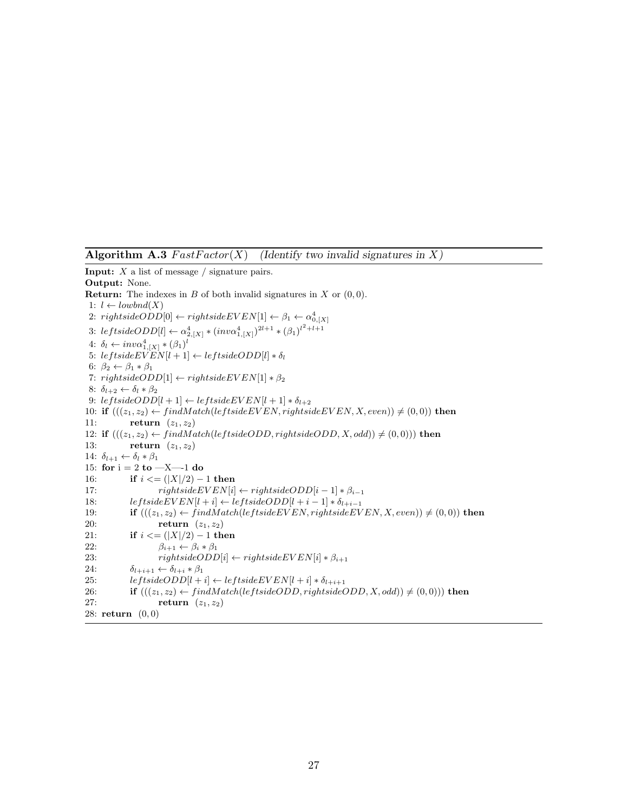**Algorithm A.3**  $FastFactor(X)$  *(Identify two invalid signatures in* X)

**Input:** X a list of message / signature pairs. **Output:** None. **Return:** The indexes in  $B$  of both invalid signatures in  $X$  or  $(0, 0)$ . 1:  $l \leftarrow \text{lowbnd}(X)$ 2:  $rightsideODD[0] \leftarrow rightsideEVEN[1] \leftarrow \beta_1 \leftarrow \alpha_{0,[X]}^4$ 3:  $lefted{ODD[l] \leftarrow \alpha_{2,[X]}^4 * (inv\alpha_{1,[X]}^4)^{2l+1} * (\beta_1)^{l^2+l+1}}$ 4:  $\delta_l \leftarrow inv\alpha_{1,[X]}^4 * (\beta_1)^l$ 5:  $leftsideEVEN[l+1] \leftarrow leftsideODD[l] * \delta_l$ 6:  $\beta_2 \leftarrow \beta_1 * \beta_1$ 7:  $rightsideODD[1] \leftarrow rightsideEVEN[1]*\beta_2$ 8:  $\delta_{l+2} \leftarrow \delta_l * \beta_2$ 9:  $leftsideODD[l + 1] \leftarrow leftsideEVEN[l + 1] * \delta_{l+2}$ 10: **if**  $(((z_1, z_2) \leftarrow findMatch(leftsideEVEN, rightsideEVEN, X, even)) \neq (0, 0))$  **then**<br>11: **return**  $(z_1, z_2)$ return  $(z_1, z_2)$ 12: **if**  $(((z_1, z_2) \leftarrow findMatch(leftsideODD, rightsideODD, X, odd)) \neq (0, 0))$  **then**<br>13: **return**  $(z_1, z_2)$ return  $(z_1, z_2)$ 14:  $\delta_{l+1} \leftarrow \delta_l * \beta_1$ 15: **for** i=2 **to** —X—-1 **do** 16: **if**  $i \leq (|X|/2) - 1$  **then**<br>17: *rightsideEVEN[i]* 17:  $rightsideEVEN[i] \leftarrow rightsideODD[i-1] * \beta_{i-1}$ <br>18:  $leftsideEVEN[i+1] \leftarrow leftsideODD[i+i-1] * \delta_{i+i-1}$ 18: *leftsideEVEN*[ $l + i$ ] ← *leftsideODD*[ $l + i - 1$ ] ∗  $\delta_{l+i-1}$ <br>19: **if**  $(((z_1, z_2) \leftarrow findMatch(leftsideEVEN,rightsideEVER)$ 19: **if**  $(((z_1, z_2) \leftarrow findMatch(leftsideEVEN, rightsideEVEN, X, even)) \neq (0, 0))$  then<br>20: **return**  $(z_1, z_2)$ return  $(z_1, z_2)$ 21: **if**  $i \leq (|X|/2) - 1$  **then**<br>22:  $\beta_{i+1} \leftarrow \beta_i * \beta_1$ 22:  $\beta_{i+1} \leftarrow \beta_i * \beta_1$ <br>23:  $rightsideODD$ 23:  $rightsideODD[i] \leftarrow rightsideEVEN[i] * \beta_{i+1}$ <br>24:  $\delta_{l+i+1} \leftarrow \delta_{l+i} * \beta_1$ 24:  $\delta_{l+i+1} \leftarrow \delta_{l+i} * \beta_1$ <br>25:  $\qquad \qquad let side ODD[l+1]$ 25: *leftsideODD*[ $l + i$ ] ← *leftsideEVEN*[ $l + i$ ]  $* \delta_{l+i+1}$ <br>26: **if**  $(((z_1, z_2) \leftarrow findMatch(le ftsideODD, riontsideC))$ 26: **if**  $(((z_1, z_2) \leftarrow findMatch(leftsideODD, rightsideODD, X, odd)) \neq (0, 0)))$  then <br>27: **return**  $(z_1, z_2)$ return  $(z_1, z_2)$ 28: **return** (0, 0)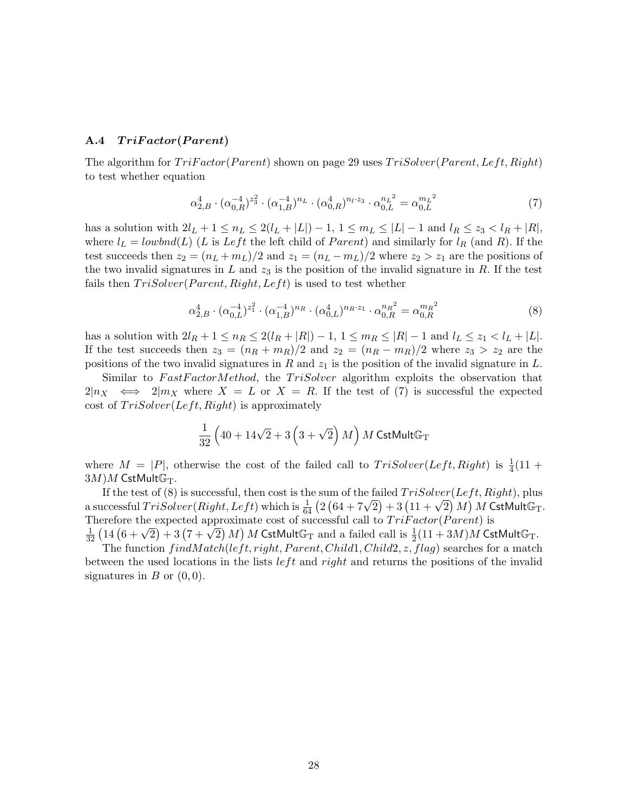#### **A.4** *T riF actor***(***P arent***)**

The algorithm for  $TriFactor(Parent)$  shown on page 29 uses  $TriSolver(Parent, Left, Right)$ to test whether equation

$$
\alpha_{2,B}^4 \cdot (\alpha_{0,R}^{-4})^{z_3^2} \cdot (\alpha_{1,B}^{-4})^{n_L} \cdot (\alpha_{0,R}^4)^{n_l \cdot z_3} \cdot \alpha_{0,L}^{n_L^2} = \alpha_{0,L}^{m_L^2}
$$
 (7)

has a solution with  $2l_L + 1 \leq n_L \leq 2(l_L + |L|) - 1$ ,  $1 \leq m_L \leq |L| - 1$  and  $l_R \leq z_3 < l_R + |R|$ , where  $l_L = \text{lowbnd}(L)$  (L is Left the left child of Parent) and similarly for  $l_R$  (and R). If the test succeeds then  $z_2 = (n_L + m_L)/2$  and  $z_1 = (n_L - m_L)/2$  where  $z_2 > z_1$  are the positions of the two invalid signatures in  $L$  and  $z_3$  is the position of the invalid signature in  $R$ . If the test fails then  $TriSolver(Parent, Right, Left)$  is used to test whether

$$
\alpha_{2,B}^4 \cdot (\alpha_{0,L}^{-4})^{z_1^2} \cdot (\alpha_{1,B}^{-4})^{n_R} \cdot (\alpha_{0,L}^4)^{n_R \cdot z_1} \cdot \alpha_{0,R}^{n_R^2} = \alpha_{0,R}^{m_R^2}
$$
\n(8)

has a solution with  $2l_R + 1 \le n_R \le 2(l_R + |R|) - 1$ ,  $1 \le m_R \le |R| - 1$  and  $l_L \le z_1 < l_L + |L|$ . If the test succeeds then  $z_3 = (n_R + m_R)/2$  and  $z_2 = (n_R - m_R)/2$  where  $z_3 > z_2$  are the positions of the two invalid signatures in R and  $z_1$  is the position of the invalid signature in L.

Similar to FastFactorMethod, the TriSolver algorithm exploits the observation that  $2|n_X \iff 2|m_X$  where  $X = L$  or  $X = R$ . If the test of (7) is successful the expected cost of  $TriSolver(Left, Right)$  is approximately

$$
\frac{1}{32} \left( 40 + 14\sqrt{2} + 3\left( 3 + \sqrt{2} \right) M \right) M \text{ CstMult}\mathbb{G}_{\mathrm{T}}
$$

where  $M = |P|$ , otherwise the cost of the failed call to  $TriSolver(Left, Right)$  is  $\frac{1}{4}(11 +$  $(3M)M$  CstMultG<sub>T</sub>.

If the test of (8) is successful, then cost is the sum of the failed  $TriSolver(Left, Right)$ , plus a successful  $Trisolver(Right, Left)$  which is  $\frac{1}{64}$  (2  $(64 + 7\sqrt{2}) + 3(11 + \sqrt{2})M$ ) M CstMultG<sub>T</sub>. Therefore the expected approximate cost of successful call to  $TriFactor(Parent)$  is  $\frac{1}{32}$   $\left(14\left(6+\sqrt{2}\right)+3\left(7+\sqrt{2}\right)M\right)M$  CstMultG<sub>T</sub> and a failed call is  $\frac{1}{2}\left(11+3M\right)M$  CstMultG<sub>T</sub>.

The function  $findMatch(left, right, Parent, Child1, Child2, z, flag)$  searches for a match between the used locations in the lists  $left$  and right and returns the positions of the invalid signatures in  $B$  or  $(0, 0)$ .